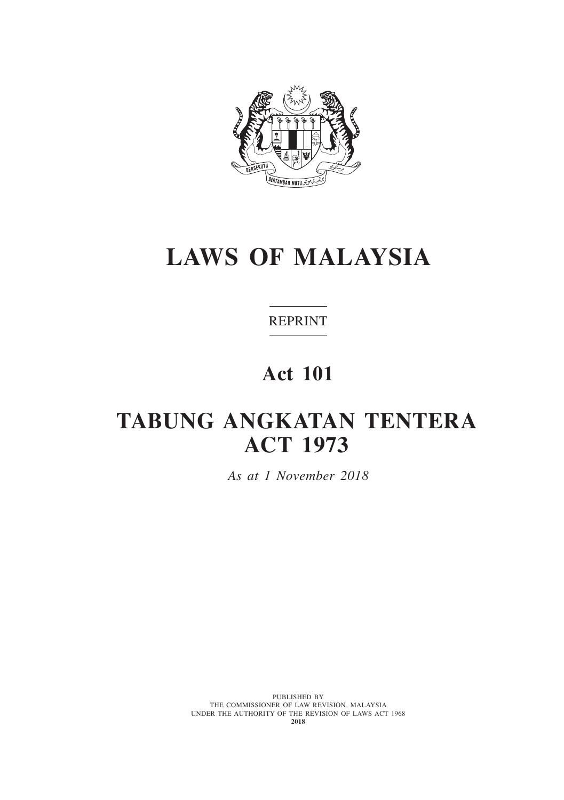

# **LAWS OF MALAYSIA**

# REPRINT

# **Act 101**

# **TABUNG ANGKATAN TENTERA ACT 1973**

*As at 1 November 2018*

PUBLISHED BY THE COMMISSIONER OF LAW REVISION, MALAYSIA UNDER THE AUTHORITY OF THE REVISION OF LAWS ACT 1968 **2018**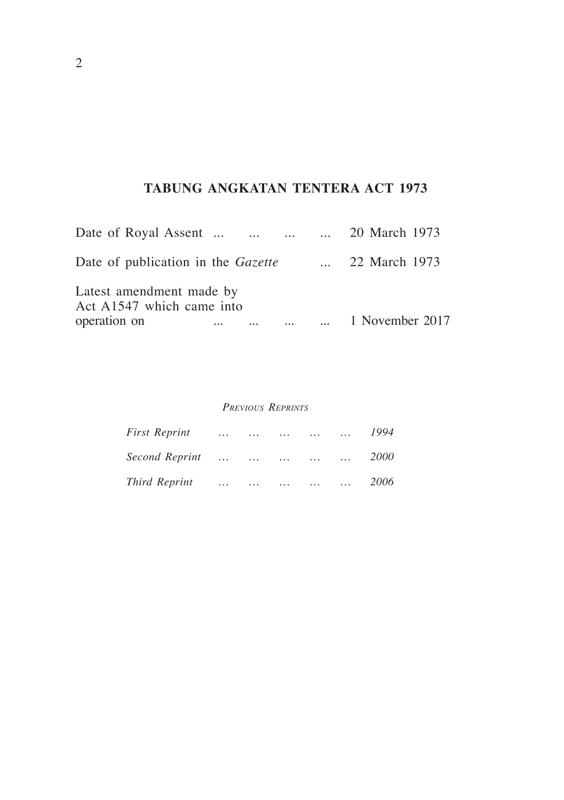# **TABUNG ANGKATAN TENTERA ACT 1973**

| Date of Royal Assent     20 March 1973                |  |                 |
|-------------------------------------------------------|--|-----------------|
| Date of publication in the <i>Gazette</i>             |  | 22 March 1973   |
| Latest amendment made by<br>Act A1547 which came into |  |                 |
| operation on                                          |  | 1 November 2017 |

#### *Previous Reprints*

| First Reprint  | $\cdots$                | $\cdots$ | $\cdots$ | $\cdots$ | $\cdots$ | 1994        |
|----------------|-------------------------|----------|----------|----------|----------|-------------|
| Second Reprint | $\sim 100$ km s $^{-1}$ |          |          | $\cdots$ | $\cdots$ | <i>2000</i> |
| Third Reprint  | $\cdots$                | $\cdots$ | $\cdots$ | $\cdots$ |          | 2006        |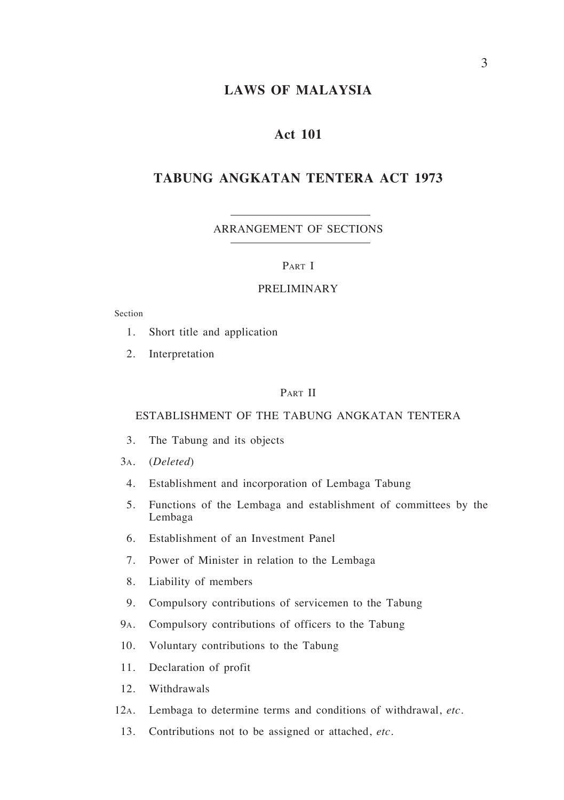# **LAWS OF MALAYSIA**

# **Act 101**

# **TABUNG ANGKATAN TENTERA ACT 1973**

#### ARRANGEMENT OF SECTIONS

#### PART I

#### PRELIMINARY

Section

- 1. Short title and application
- 2. Interpretation

#### PART II

#### ESTABLISHMENT OF THE TABUNG ANGKATAN TENTERA

- 3. The Tabung and its objects
- 3a. (*Deleted*)
- 4. Establishment and incorporation of Lembaga Tabung
- 5. Functions of the Lembaga and establishment of committees by the Lembaga
- 6. Establishment of an Investment Panel
- 7. Power of Minister in relation to the Lembaga
- 8. Liability of members
- 9. Compulsory contributions of servicemen to the Tabung
- 9a. Compulsory contributions of officers to the Tabung
- 10. Voluntary contributions to the Tabung
- 11. Declaration of profit
- 12. Withdrawals
- 12a. Lembaga to determine terms and conditions of withdrawal, *etc*.
- 13. Contributions not to be assigned or attached, *etc.*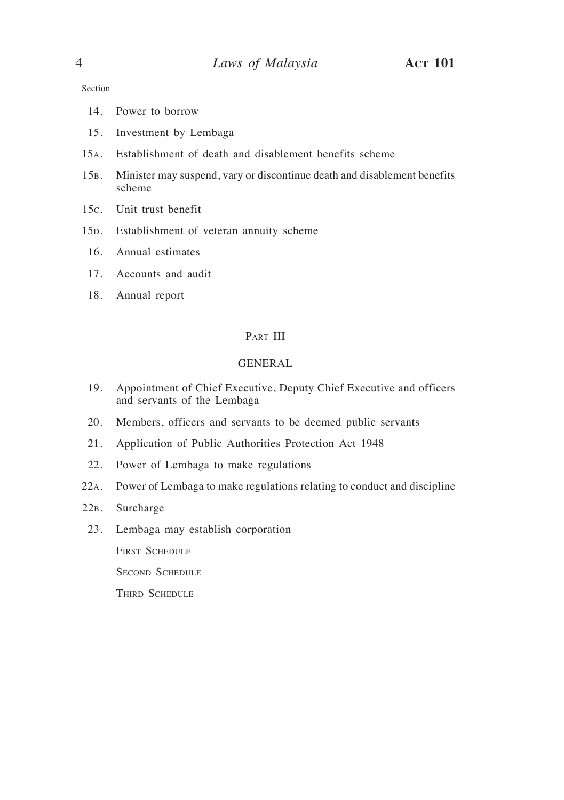Section

- 14. Power to borrow
- 15. Investment by Lembaga
- 15a. Establishment of death and disablement benefits scheme
- 15b. Minister may suspend, vary or discontinue death and disablement benefits scheme
- 15c. Unit trust benefit
- 15D. Establishment of veteran annuity scheme
- 16. Annual estimates
- 17. Accounts and audit
- 18. Annual report

#### Part III

#### GENERAL

- 19. Appointment of Chief Executive, Deputy Chief Executive and officers and servants of the Lembaga
- 20. Members, officers and servants to be deemed public servants
- 21. Application of Public Authorities Protection Act 1948
- 22. Power of Lembaga to make regulations
- 22a. Power of Lembaga to make regulations relating to conduct and discipline
- 22b. Surcharge
- 23. Lembaga may establish corporation

FIRST SCHEDULE

SECOND SCHEDULE

THIRD SCHEDULE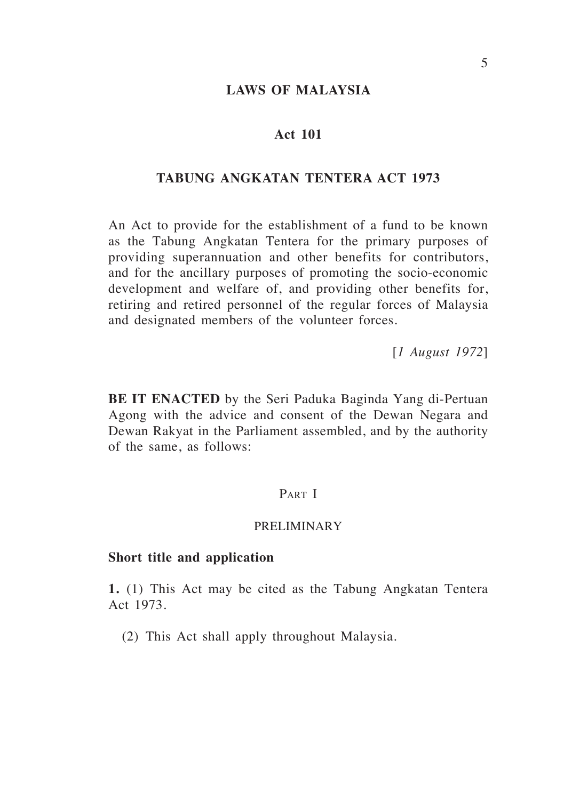## **LAWS OF MALAYSIA**

### **Act 101**

# **TABUNG ANGKATAN TENTERA ACT 1973**

An Act to provide for the establishment of a fund to be known as the Tabung Angkatan Tentera for the primary purposes of providing superannuation and other benefits for contributors, and for the ancillary purposes of promoting the socio-economic development and welfare of, and providing other benefits for, retiring and retired personnel of the regular forces of Malaysia and designated members of the volunteer forces.

[*1 August 1972*]

**BE IT ENACTED** by the Seri Paduka Baginda Yang di-Pertuan Agong with the advice and consent of the Dewan Negara and Dewan Rakyat in the Parliament assembled, and by the authority of the same, as follows:

# PART I

#### PRELIMINARY

#### **Short title and application**

**1.** (1) This Act may be cited as the Tabung Angkatan Tentera Act 1973.

(2) This Act shall apply throughout Malaysia.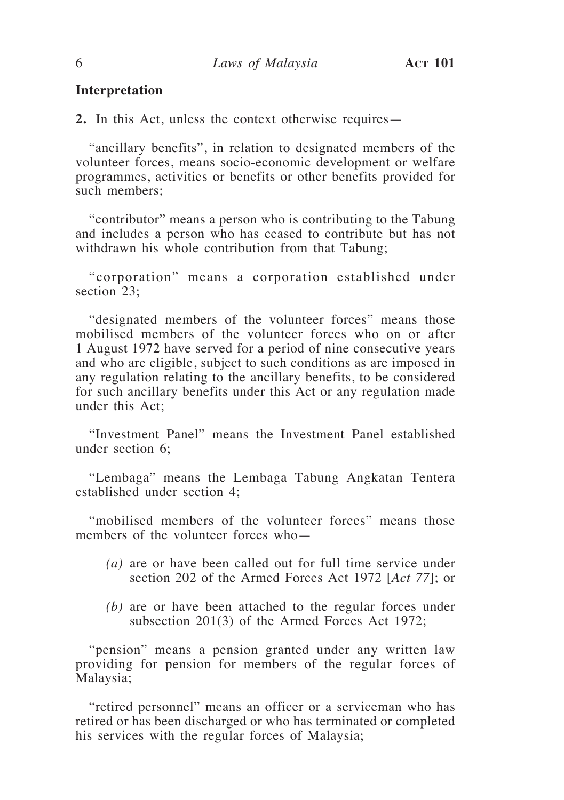#### **Interpretation**

**2.** In this Act, unless the context otherwise requires—

"ancillary benefits", in relation to designated members of the volunteer forces, means socio-economic development or welfare programmes, activities or benefits or other benefits provided for such members;

"contributor" means a person who is contributing to the Tabung and includes a person who has ceased to contribute but has not withdrawn his whole contribution from that Tabung;

"corporation" means a corporation established under section 23:

"designated members of the volunteer forces" means those mobilised members of the volunteer forces who on or after 1 August 1972 have served for a period of nine consecutive years and who are eligible, subject to such conditions as are imposed in any regulation relating to the ancillary benefits, to be considered for such ancillary benefits under this Act or any regulation made under this Act;

"Investment Panel" means the Investment Panel established under section 6;

"Lembaga" means the Lembaga Tabung Angkatan Tentera established under section 4;

"mobilised members of the volunteer forces" means those members of the volunteer forces who—

- *(a)* are or have been called out for full time service under section 202 of the Armed Forces Act 1972 [*Act 77*]; or
- *(b)* are or have been attached to the regular forces under subsection 201(3) of the Armed Forces Act 1972;

"pension" means a pension granted under any written law providing for pension for members of the regular forces of Malaysia;

"retired personnel" means an officer or a serviceman who has retired or has been discharged or who has terminated or completed his services with the regular forces of Malaysia;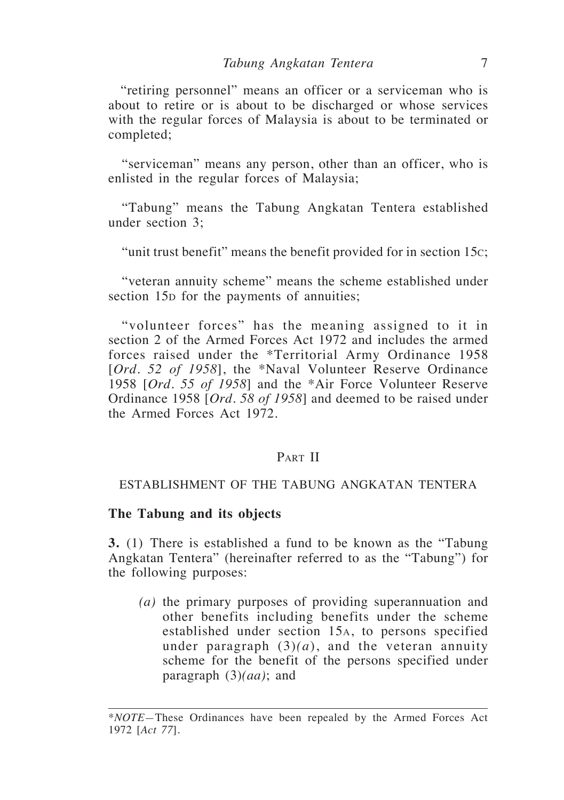"retiring personnel" means an officer or a serviceman who is about to retire or is about to be discharged or whose services with the regular forces of Malaysia is about to be terminated or completed;

"serviceman" means any person, other than an officer, who is enlisted in the regular forces of Malaysia;

"Tabung" means the Tabung Angkatan Tentera established under section 3;

"unit trust benefit" means the benefit provided for in section 15c;

"veteran annuity scheme" means the scheme established under section 15<sub>p</sub> for the payments of annuities;

"volunteer forces" has the meaning assigned to it in section 2 of the Armed Forces Act 1972 and includes the armed forces raised under the \*Territorial Army Ordinance 1958 [*Ord. 52 of 1958*], the \*Naval Volunteer Reserve Ordinance 1958 [*Ord. 55 of 1958*] and the \*Air Force Volunteer Reserve Ordinance 1958 [*Ord. 58 of 1958*] and deemed to be raised under the Armed Forces Act 1972.

# PART II

#### ESTABLISHMENT OF THE TABUNG ANGKATAN TENTERA

### **The Tabung and its objects**

**3.** (1) There is established a fund to be known as the "Tabung Angkatan Tentera" (hereinafter referred to as the "Tabung") for the following purposes:

*(a)* the primary purposes of providing superannuation and other benefits including benefits under the scheme established under section 15a, to persons specified under paragraph  $(3)(a)$ , and the veteran annuity scheme for the benefit of the persons specified under paragraph (3)*(aa)*; and

<sup>\*</sup>*NOTE—*These Ordinances have been repealed by the Armed Forces Act 1972 [*Act 77*].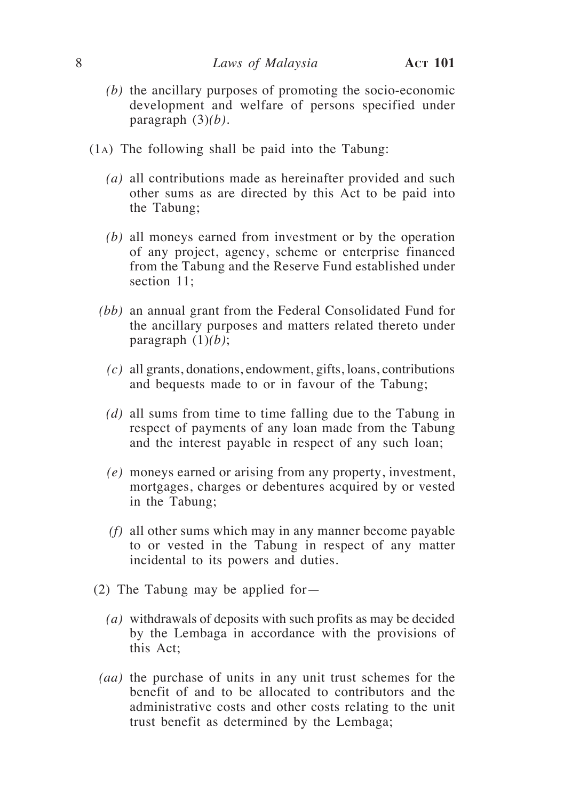- *(b)* the ancillary purposes of promoting the socio-economic development and welfare of persons specified under paragraph (3)*(b)*.
- (1a) The following shall be paid into the Tabung:
	- *(a)* all contributions made as hereinafter provided and such other sums as are directed by this Act to be paid into the Tabung;
	- *(b)* all moneys earned from investment or by the operation of any project, agency, scheme or enterprise financed from the Tabung and the Reserve Fund established under section 11:
	- *(bb)* an annual grant from the Federal Consolidated Fund for the ancillary purposes and matters related thereto under paragraph (1)*(b)*;
		- *(c)* all grants, donations, endowment, gifts, loans, contributions and bequests made to or in favour of the Tabung;
		- *(d)* all sums from time to time falling due to the Tabung in respect of payments of any loan made from the Tabung and the interest payable in respect of any such loan;
		- *(e)* moneys earned or arising from any property, investment, mortgages, charges or debentures acquired by or vested in the Tabung;
		- *(f)* all other sums which may in any manner become payable to or vested in the Tabung in respect of any matter incidental to its powers and duties.
- (2) The Tabung may be applied for—
	- *(a)* withdrawals of deposits with such profits as may be decided by the Lembaga in accordance with the provisions of this Act;
- *(aa)* the purchase of units in any unit trust schemes for the benefit of and to be allocated to contributors and the administrative costs and other costs relating to the unit trust benefit as determined by the Lembaga;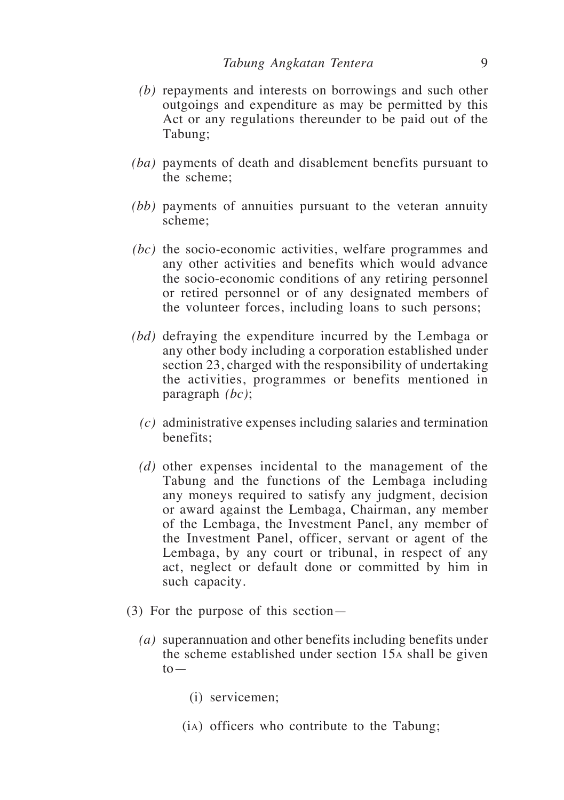- *(b)* repayments and interests on borrowings and such other outgoings and expenditure as may be permitted by this Act or any regulations thereunder to be paid out of the Tabung;
- *(ba)* payments of death and disablement benefits pursuant to the scheme;
- *(bb)* payments of annuities pursuant to the veteran annuity scheme;
- *(bc)* the socio-economic activities, welfare programmes and any other activities and benefits which would advance the socio-economic conditions of any retiring personnel or retired personnel or of any designated members of the volunteer forces, including loans to such persons;
- *(bd)* defraying the expenditure incurred by the Lembaga or any other body including a corporation established under section 23, charged with the responsibility of undertaking the activities, programmes or benefits mentioned in paragraph *(bc)*;
	- *(c)* administrative expenses including salaries and termination benefits;
	- *(d)* other expenses incidental to the management of the Tabung and the functions of the Lembaga including any moneys required to satisfy any judgment, decision or award against the Lembaga, Chairman, any member of the Lembaga, the Investment Panel, any member of the Investment Panel, officer, servant or agent of the Lembaga, by any court or tribunal, in respect of any act, neglect or default done or committed by him in such capacity.
- (3) For the purpose of this section—
	- *(a)* superannuation and other benefits including benefits under the scheme established under section 15a shall be given  $to-$ 
		- (i) servicemen;
		- (ia) officers who contribute to the Tabung;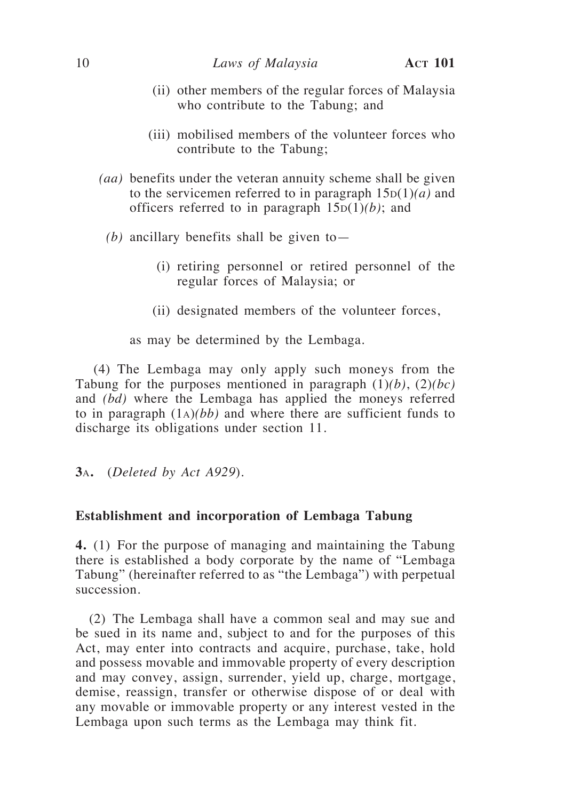- (ii) other members of the regular forces of Malaysia who contribute to the Tabung; and
- (iii) mobilised members of the volunteer forces who contribute to the Tabung;
- *(aa)* benefits under the veteran annuity scheme shall be given to the servicemen referred to in paragraph  $15D(1)(a)$  and officers referred to in paragraph  $15D(1)(b)$ ; and
	- *(b)* ancillary benefits shall be given to—
		- (i) retiring personnel or retired personnel of the regular forces of Malaysia; or
		- (ii) designated members of the volunteer forces,

as may be determined by the Lembaga.

(4) The Lembaga may only apply such moneys from the Tabung for the purposes mentioned in paragraph  $(1)(b)$ ,  $(2)(bc)$ and *(bd)* where the Lembaga has applied the moneys referred to in paragraph (1a)*(bb)* and where there are sufficient funds to discharge its obligations under section 11.

**3**a**.** (*Deleted by Act A929*).

#### **Establishment and incorporation of Lembaga Tabung**

**4.** (1) For the purpose of managing and maintaining the Tabung there is established a body corporate by the name of "Lembaga Tabung" (hereinafter referred to as "the Lembaga") with perpetual succession.

(2) The Lembaga shall have a common seal and may sue and be sued in its name and, subject to and for the purposes of this Act, may enter into contracts and acquire, purchase, take, hold and possess movable and immovable property of every description and may convey, assign, surrender, yield up, charge, mortgage, demise, reassign, transfer or otherwise dispose of or deal with any movable or immovable property or any interest vested in the Lembaga upon such terms as the Lembaga may think fit.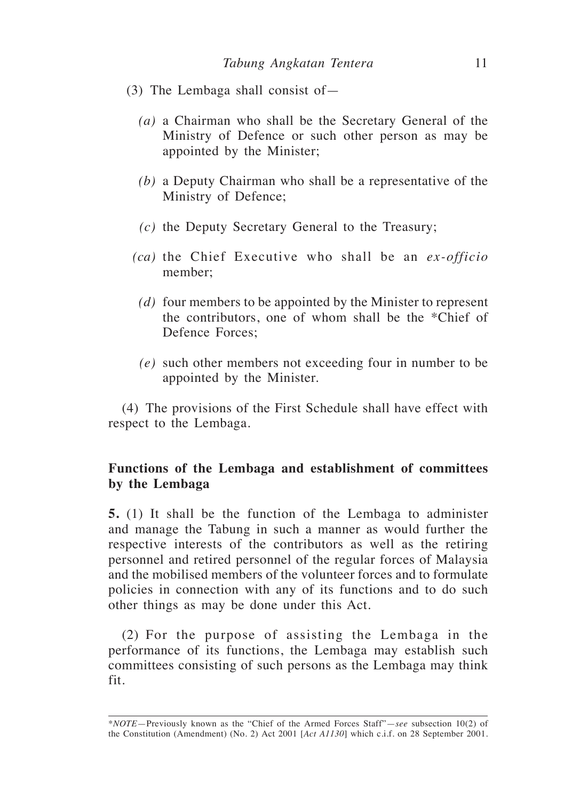- (3) The Lembaga shall consist of—
	- *(a)* a Chairman who shall be the Secretary General of the Ministry of Defence or such other person as may be appointed by the Minister;
	- *(b)* a Deputy Chairman who shall be a representative of the Ministry of Defence;
	- *(c)* the Deputy Secretary General to the Treasury;
	- *(ca)* the Chief Executive who shall be an *ex-officio*  member;
		- *(d)* four members to be appointed by the Minister to represent the contributors, one of whom shall be the \*Chief of Defence Forces;
		- *(e)* such other members not exceeding four in number to be appointed by the Minister.

(4) The provisions of the First Schedule shall have effect with respect to the Lembaga.

# **Functions of the Lembaga and establishment of committees by the Lembaga**

**5.** (1) It shall be the function of the Lembaga to administer and manage the Tabung in such a manner as would further the respective interests of the contributors as well as the retiring personnel and retired personnel of the regular forces of Malaysia and the mobilised members of the volunteer forces and to formulate policies in connection with any of its functions and to do such other things as may be done under this Act.

(2) For the purpose of assisting the Lembaga in the performance of its functions, the Lembaga may establish such committees consisting of such persons as the Lembaga may think fit.

<sup>\*</sup>*NOTE*—Previously known as the "Chief of the Armed Forces Staff"—*see* subsection 10(2) of the Constitution (Amendment) (No. 2) Act 2001 [*Act A1130*] which c.i.f. on 28 September 2001.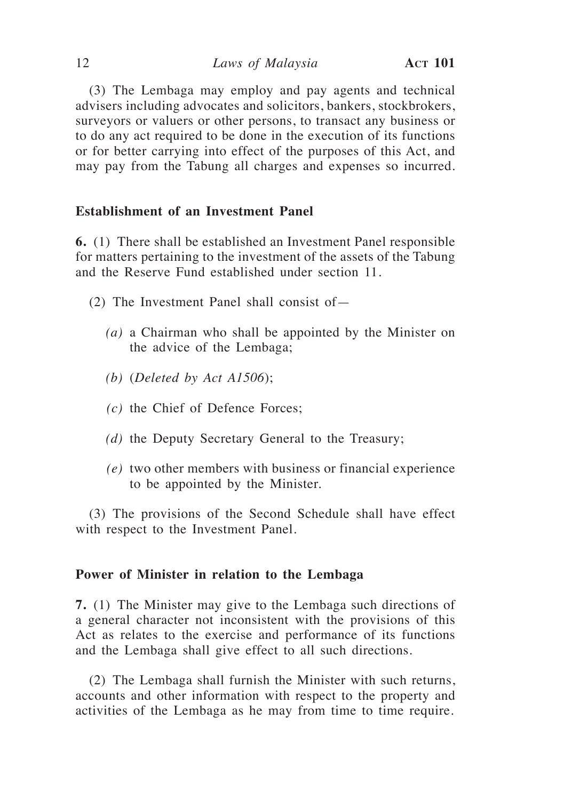(3) The Lembaga may employ and pay agents and technical advisers including advocates and solicitors, bankers, stockbrokers, surveyors or valuers or other persons, to transact any business or to do any act required to be done in the execution of its functions or for better carrying into effect of the purposes of this Act, and may pay from the Tabung all charges and expenses so incurred.

#### **Establishment of an Investment Panel**

**6.** (1) There shall be established an Investment Panel responsible for matters pertaining to the investment of the assets of the Tabung and the Reserve Fund established under section 11.

- (2) The Investment Panel shall consist of—
	- *(a)* a Chairman who shall be appointed by the Minister on the advice of the Lembaga;
	- *(b)* (*Deleted by Act A1506*);
	- *(c)* the Chief of Defence Forces;
	- *(d)* the Deputy Secretary General to the Treasury;
	- *(e)* two other members with business or financial experience to be appointed by the Minister.

(3) The provisions of the Second Schedule shall have effect with respect to the Investment Panel.

#### **Power of Minister in relation to the Lembaga**

**7.** (1) The Minister may give to the Lembaga such directions of a general character not inconsistent with the provisions of this Act as relates to the exercise and performance of its functions and the Lembaga shall give effect to all such directions.

(2) The Lembaga shall furnish the Minister with such returns, accounts and other information with respect to the property and activities of the Lembaga as he may from time to time require.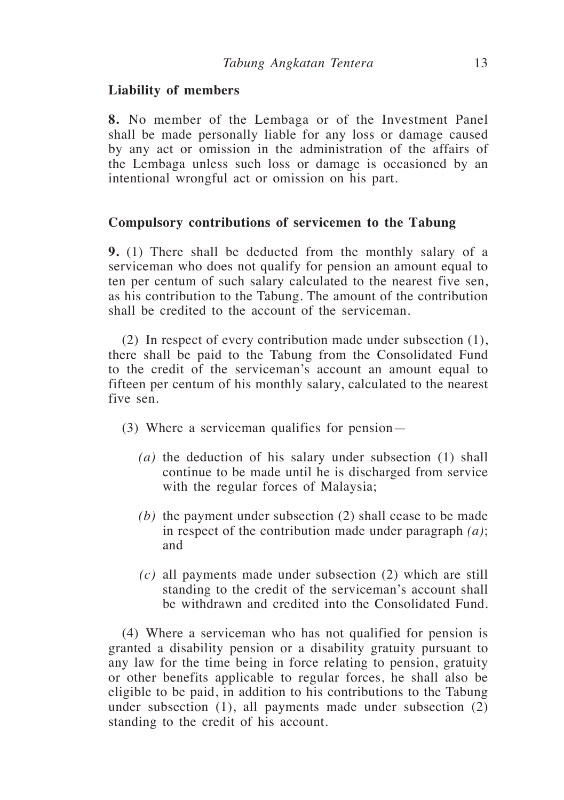# **Liability of members**

**8.** No member of the Lembaga or of the Investment Panel shall be made personally liable for any loss or damage caused by any act or omission in the administration of the affairs of the Lembaga unless such loss or damage is occasioned by an intentional wrongful act or omission on his part.

# **Compulsory contributions of servicemen to the Tabung**

**9.** (1) There shall be deducted from the monthly salary of a serviceman who does not qualify for pension an amount equal to ten per centum of such salary calculated to the nearest five sen, as his contribution to the Tabung. The amount of the contribution shall be credited to the account of the serviceman.

(2) In respect of every contribution made under subsection (1), there shall be paid to the Tabung from the Consolidated Fund to the credit of the serviceman's account an amount equal to fifteen per centum of his monthly salary, calculated to the nearest five sen.

- (3) Where a serviceman qualifies for pension—
	- *(a)* the deduction of his salary under subsection (1) shall continue to be made until he is discharged from service with the regular forces of Malaysia;
	- *(b)* the payment under subsection (2) shall cease to be made in respect of the contribution made under paragraph *(a)*; and
	- *(c)* all payments made under subsection (2) which are still standing to the credit of the serviceman's account shall be withdrawn and credited into the Consolidated Fund.

(4) Where a serviceman who has not qualified for pension is granted a disability pension or a disability gratuity pursuant to any law for the time being in force relating to pension, gratuity or other benefits applicable to regular forces, he shall also be eligible to be paid, in addition to his contributions to the Tabung under subsection  $(1)$ , all payments made under subsection  $(2)$ standing to the credit of his account.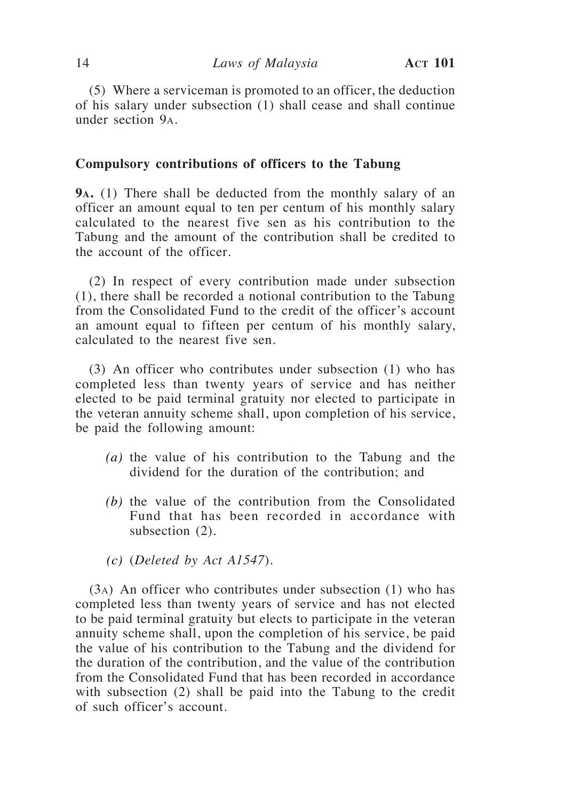(5) Where a serviceman is promoted to an officer, the deduction of his salary under subsection (1) shall cease and shall continue under section 9a.

# **Compulsory contributions of officers to the Tabung**

**9a.** (1) There shall be deducted from the monthly salary of an officer an amount equal to ten per centum of his monthly salary calculated to the nearest five sen as his contribution to the Tabung and the amount of the contribution shall be credited to the account of the officer.

(2) In respect of every contribution made under subsection (1), there shall be recorded a notional contribution to the Tabung from the Consolidated Fund to the credit of the officer's account an amount equal to fifteen per centum of his monthly salary, calculated to the nearest five sen.

(3) An officer who contributes under subsection (1) who has completed less than twenty years of service and has neither elected to be paid terminal gratuity nor elected to participate in the veteran annuity scheme shall, upon completion of his service, be paid the following amount:

- *(a)* the value of his contribution to the Tabung and the dividend for the duration of the contribution; and
- *(b)* the value of the contribution from the Consolidated Fund that has been recorded in accordance with subsection (2).
- *(c)* (*Deleted by Act A1547*).

(3a) An officer who contributes under subsection (1) who has completed less than twenty years of service and has not elected to be paid terminal gratuity but elects to participate in the veteran annuity scheme shall, upon the completion of his service, be paid the value of his contribution to the Tabung and the dividend for the duration of the contribution, and the value of the contribution from the Consolidated Fund that has been recorded in accordance with subsection (2) shall be paid into the Tabung to the credit of such officer's account.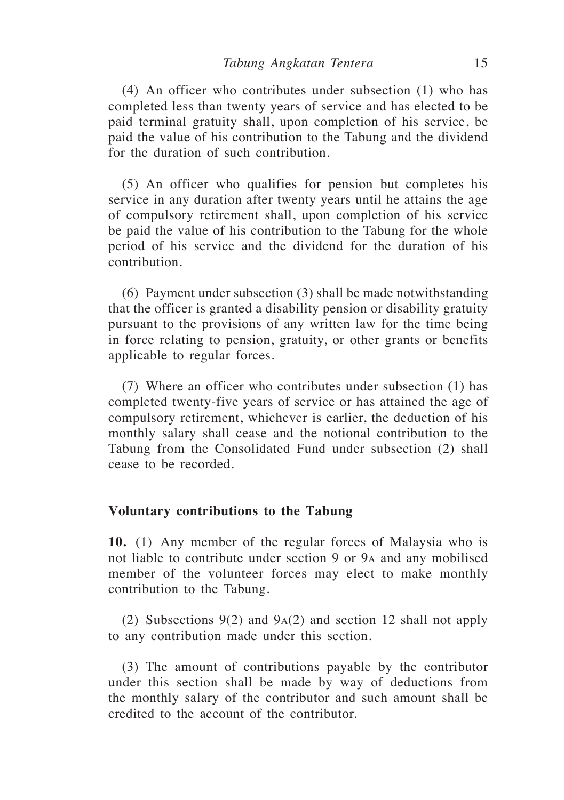(4) An officer who contributes under subsection (1) who has completed less than twenty years of service and has elected to be paid terminal gratuity shall, upon completion of his service, be paid the value of his contribution to the Tabung and the dividend for the duration of such contribution.

(5) An officer who qualifies for pension but completes his service in any duration after twenty years until he attains the age of compulsory retirement shall, upon completion of his service be paid the value of his contribution to the Tabung for the whole period of his service and the dividend for the duration of his contribution.

(6) Payment under subsection (3) shall be made notwithstanding that the officer is granted a disability pension or disability gratuity pursuant to the provisions of any written law for the time being in force relating to pension, gratuity, or other grants or benefits applicable to regular forces.

(7) Where an officer who contributes under subsection (1) has completed twenty-five years of service or has attained the age of compulsory retirement, whichever is earlier, the deduction of his monthly salary shall cease and the notional contribution to the Tabung from the Consolidated Fund under subsection (2) shall cease to be recorded.

#### **Voluntary contributions to the Tabung**

**10.** (1) Any member of the regular forces of Malaysia who is not liable to contribute under section 9 or 9a and any mobilised member of the volunteer forces may elect to make monthly contribution to the Tabung.

(2) Subsections 9(2) and 9a(2) and section 12 shall not apply to any contribution made under this section.

(3) The amount of contributions payable by the contributor under this section shall be made by way of deductions from the monthly salary of the contributor and such amount shall be credited to the account of the contributor.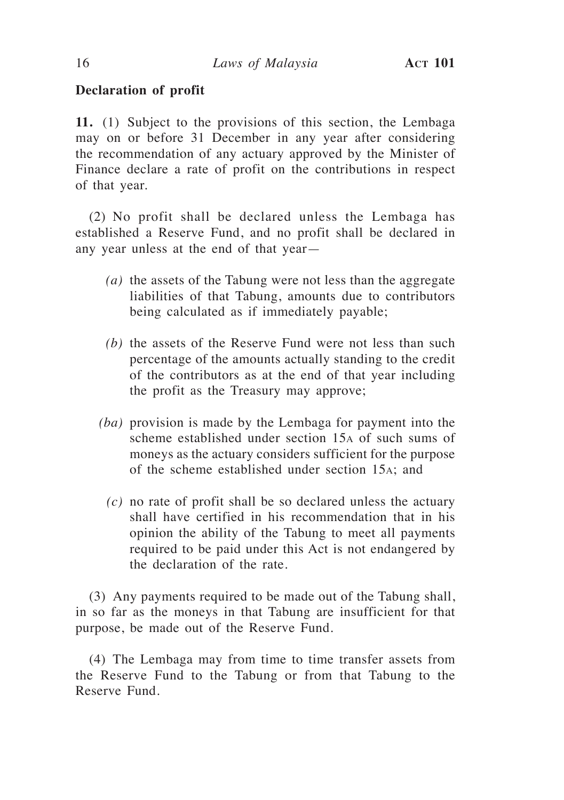# **Declaration of profit**

**11.** (1) Subject to the provisions of this section, the Lembaga may on or before 31 December in any year after considering the recommendation of any actuary approved by the Minister of Finance declare a rate of profit on the contributions in respect of that year.

(2) No profit shall be declared unless the Lembaga has established a Reserve Fund, and no profit shall be declared in any year unless at the end of that year—

- *(a)* the assets of the Tabung were not less than the aggregate liabilities of that Tabung, amounts due to contributors being calculated as if immediately payable;
- *(b)* the assets of the Reserve Fund were not less than such percentage of the amounts actually standing to the credit of the contributors as at the end of that year including the profit as the Treasury may approve;
- *(ba)* provision is made by the Lembaga for payment into the scheme established under section 15a of such sums of moneys as the actuary considers sufficient for the purpose of the scheme established under section 15a; and
	- *(c)* no rate of profit shall be so declared unless the actuary shall have certified in his recommendation that in his opinion the ability of the Tabung to meet all payments required to be paid under this Act is not endangered by the declaration of the rate.

(3) Any payments required to be made out of the Tabung shall, in so far as the moneys in that Tabung are insufficient for that purpose, be made out of the Reserve Fund.

(4) The Lembaga may from time to time transfer assets from the Reserve Fund to the Tabung or from that Tabung to the Reserve Fund.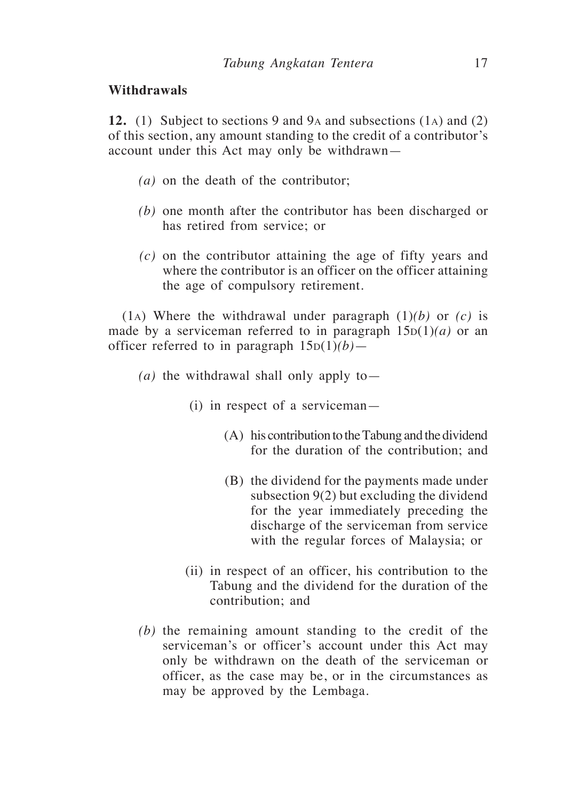# **Withdrawals**

**12.** (1) Subject to sections 9 and 9a and subsections (1a) and (2) of this section, any amount standing to the credit of a contributor's account under this Act may only be withdrawn—

- *(a)* on the death of the contributor;
- *(b)* one month after the contributor has been discharged or has retired from service; or
- *(c)* on the contributor attaining the age of fifty years and where the contributor is an officer on the officer attaining the age of compulsory retirement.

(1<sub>A</sub>) Where the withdrawal under paragraph  $(1)(b)$  or  $(c)$  is made by a serviceman referred to in paragraph  $15D(1)(a)$  or an officer referred to in paragraph  $15D(1)(b)$ —

- *(a)* the withdrawal shall only apply to—
	- (i) in respect of a serviceman—
		- (A) his contribution to the Tabung and the dividend for the duration of the contribution; and
		- (B) the dividend for the payments made under subsection 9(2) but excluding the dividend for the year immediately preceding the discharge of the serviceman from service with the regular forces of Malaysia; or
	- (ii) in respect of an officer, his contribution to the Tabung and the dividend for the duration of the contribution; and
- *(b)* the remaining amount standing to the credit of the serviceman's or officer's account under this Act may only be withdrawn on the death of the serviceman or officer, as the case may be, or in the circumstances as may be approved by the Lembaga.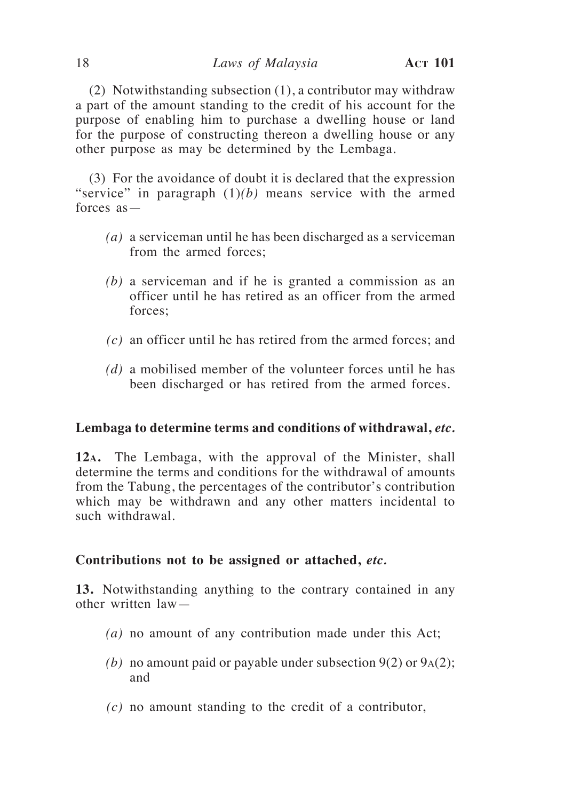(2) Notwithstanding subsection (1), a contributor may withdraw a part of the amount standing to the credit of his account for the purpose of enabling him to purchase a dwelling house or land for the purpose of constructing thereon a dwelling house or any other purpose as may be determined by the Lembaga.

(3) For the avoidance of doubt it is declared that the expression "service" in paragraph (1)*(b)* means service with the armed forces as—

- *(a)* a serviceman until he has been discharged as a serviceman from the armed forces;
- *(b)* a serviceman and if he is granted a commission as an officer until he has retired as an officer from the armed forces;
- *(c)* an officer until he has retired from the armed forces; and
- *(d)* a mobilised member of the volunteer forces until he has been discharged or has retired from the armed forces.

### **Lembaga to determine terms and conditions of withdrawal,** *etc.*

**12a.** The Lembaga, with the approval of the Minister, shall determine the terms and conditions for the withdrawal of amounts from the Tabung, the percentages of the contributor's contribution which may be withdrawn and any other matters incidental to such withdrawal.

#### **Contributions not to be assigned or attached,** *etc.*

**13.** Notwithstanding anything to the contrary contained in any other written law—

- *(a)* no amount of any contribution made under this Act;
- *(b)* no amount paid or payable under subsection  $9(2)$  or  $9_A(2)$ ; and
- *(c)* no amount standing to the credit of a contributor,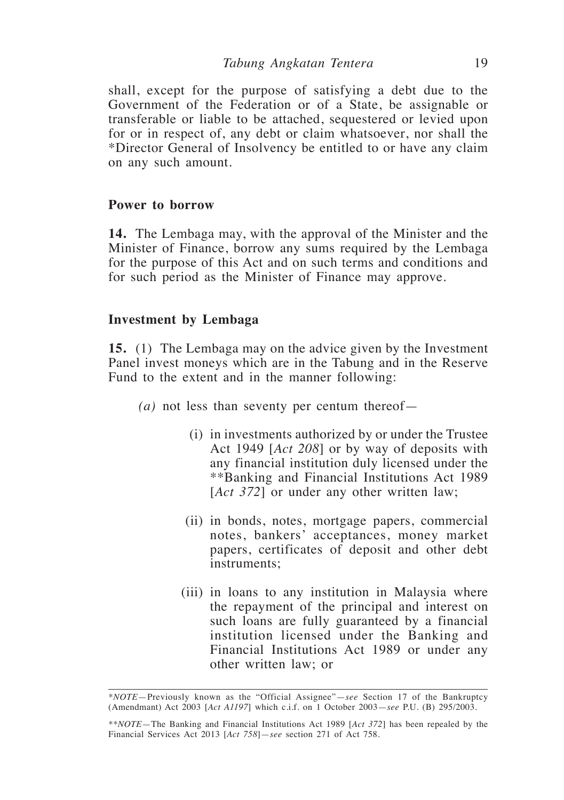shall, except for the purpose of satisfying a debt due to the Government of the Federation or of a State, be assignable or transferable or liable to be attached, sequestered or levied upon for or in respect of, any debt or claim whatsoever, nor shall the \*Director General of Insolvency be entitled to or have any claim on any such amount.

### **Power to borrow**

**14.** The Lembaga may, with the approval of the Minister and the Minister of Finance, borrow any sums required by the Lembaga for the purpose of this Act and on such terms and conditions and for such period as the Minister of Finance may approve.

### **Investment by Lembaga**

**15.** (1) The Lembaga may on the advice given by the Investment Panel invest moneys which are in the Tabung and in the Reserve Fund to the extent and in the manner following:

- *(a)* not less than seventy per centum thereof—
	- (i) in investments authorized by or under the Trustee Act 1949 [*Act 208*] or by way of deposits with any financial institution duly licensed under the \*\*Banking and Financial Institutions Act 1989 [*Act 372*] or under any other written law;
	- (ii) in bonds, notes, mortgage papers, commercial notes, bankers' acceptances, money market papers, certificates of deposit and other debt instruments;
	- (iii) in loans to any institution in Malaysia where the repayment of the principal and interest on such loans are fully guaranteed by a financial institution licensed under the Banking and Financial Institutions Act 1989 or under any other written law; or

*<sup>\*</sup>NOTE*—Previously known as the "Official Assignee"—*see* Section 17 of the Bankruptcy (Amendmant) Act 2003 [*Act A1197*] which c.i.f. on 1 October 2003—*see* P.U. (B) 295/2003.

*<sup>\*\*</sup>NOTE*—The Banking and Financial Institutions Act 1989 [*Act 372*] has been repealed by the Financial Services Act 2013 [*Act 758*]—*see* section 271 of Act 758.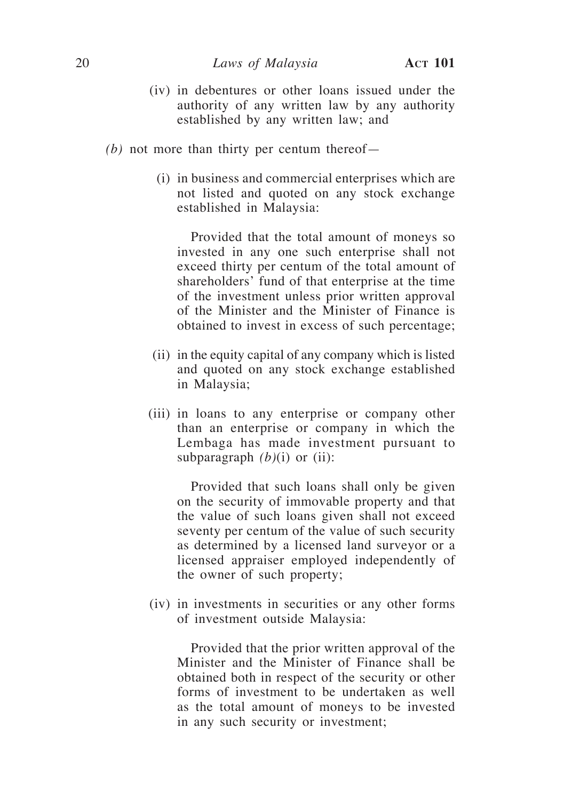- (iv) in debentures or other loans issued under the authority of any written law by any authority established by any written law; and
- *(b)* not more than thirty per centum thereof—
	- (i) in business and commercial enterprises which are not listed and quoted on any stock exchange established in Malaysia:

Provided that the total amount of moneys so invested in any one such enterprise shall not exceed thirty per centum of the total amount of shareholders' fund of that enterprise at the time of the investment unless prior written approval of the Minister and the Minister of Finance is obtained to invest in excess of such percentage;

- (ii) in the equity capital of any company which is listed and quoted on any stock exchange established in Malaysia;
- (iii) in loans to any enterprise or company other than an enterprise or company in which the Lembaga has made investment pursuant to subparagraph  $(b)(i)$  or (ii):

Provided that such loans shall only be given on the security of immovable property and that the value of such loans given shall not exceed seventy per centum of the value of such security as determined by a licensed land surveyor or a licensed appraiser employed independently of the owner of such property;

(iv) in investments in securities or any other forms of investment outside Malaysia:

Provided that the prior written approval of the Minister and the Minister of Finance shall be obtained both in respect of the security or other forms of investment to be undertaken as well as the total amount of moneys to be invested in any such security or investment;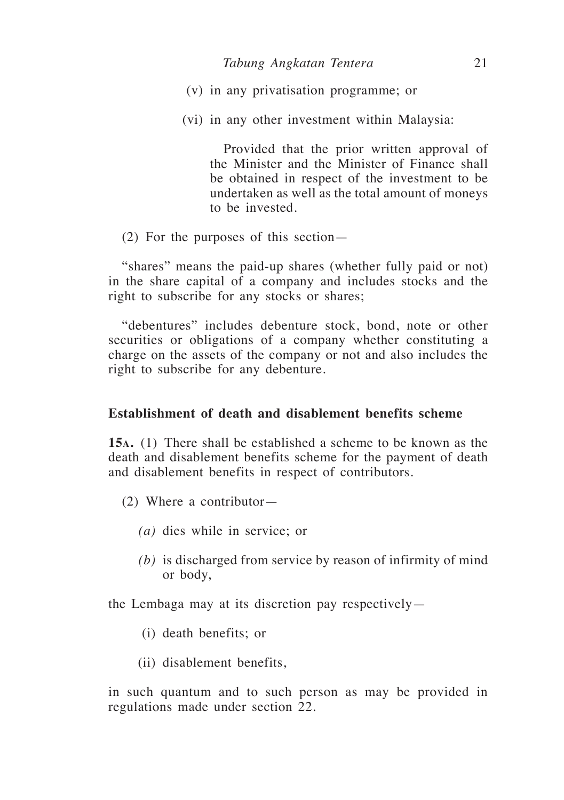- (v) in any privatisation programme; or
- (vi) in any other investment within Malaysia:

Provided that the prior written approval of the Minister and the Minister of Finance shall be obtained in respect of the investment to be undertaken as well as the total amount of moneys to be invested.

(2) For the purposes of this section—

"shares" means the paid-up shares (whether fully paid or not) in the share capital of a company and includes stocks and the right to subscribe for any stocks or shares;

"debentures" includes debenture stock, bond, note or other securities or obligations of a company whether constituting a charge on the assets of the company or not and also includes the right to subscribe for any debenture.

## **Establishment of death and disablement benefits scheme**

**15a.** (1) There shall be established a scheme to be known as the death and disablement benefits scheme for the payment of death and disablement benefits in respect of contributors.

- (2) Where a contributor—
	- *(a)* dies while in service; or
	- *(b)* is discharged from service by reason of infirmity of mind or body,

the Lembaga may at its discretion pay respectively—

- (i) death benefits; or
- (ii) disablement benefits,

in such quantum and to such person as may be provided in regulations made under section 22.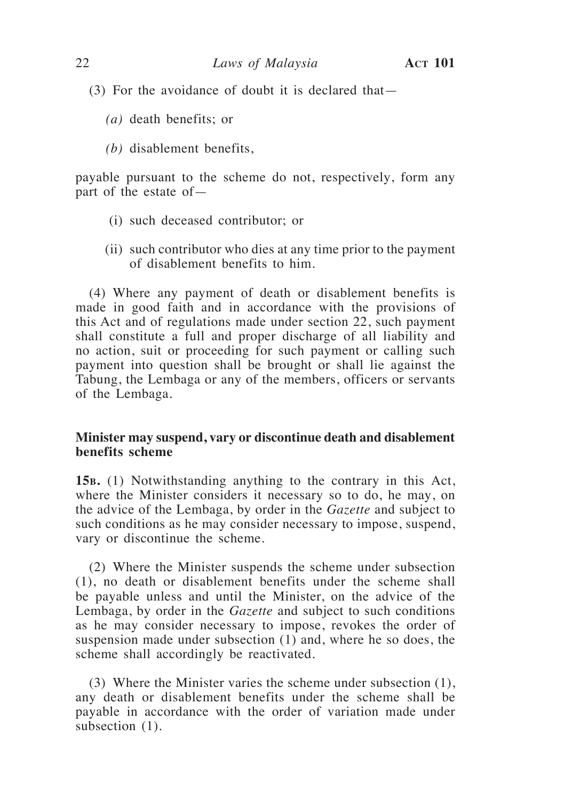- (3) For the avoidance of doubt it is declared that—
	- *(a)* death benefits; or
	- *(b)* disablement benefits,

payable pursuant to the scheme do not, respectively, form any part of the estate of—

- (i) such deceased contributor; or
- (ii) such contributor who dies at any time prior to the payment of disablement benefits to him.

(4) Where any payment of death or disablement benefits is made in good faith and in accordance with the provisions of this Act and of regulations made under section 22, such payment shall constitute a full and proper discharge of all liability and no action, suit or proceeding for such payment or calling such payment into question shall be brought or shall lie against the Tabung, the Lembaga or any of the members, officers or servants of the Lembaga.

# **Minister may suspend, vary or discontinue death and disablement benefits scheme**

**15b.** (1) Notwithstanding anything to the contrary in this Act, where the Minister considers it necessary so to do, he may, on the advice of the Lembaga, by order in the *Gazette* and subject to such conditions as he may consider necessary to impose, suspend, vary or discontinue the scheme.

(2) Where the Minister suspends the scheme under subsection (1), no death or disablement benefits under the scheme shall be payable unless and until the Minister, on the advice of the Lembaga, by order in the *Gazette* and subject to such conditions as he may consider necessary to impose, revokes the order of suspension made under subsection (1) and, where he so does, the scheme shall accordingly be reactivated.

(3) Where the Minister varies the scheme under subsection (1), any death or disablement benefits under the scheme shall be payable in accordance with the order of variation made under subsection (1).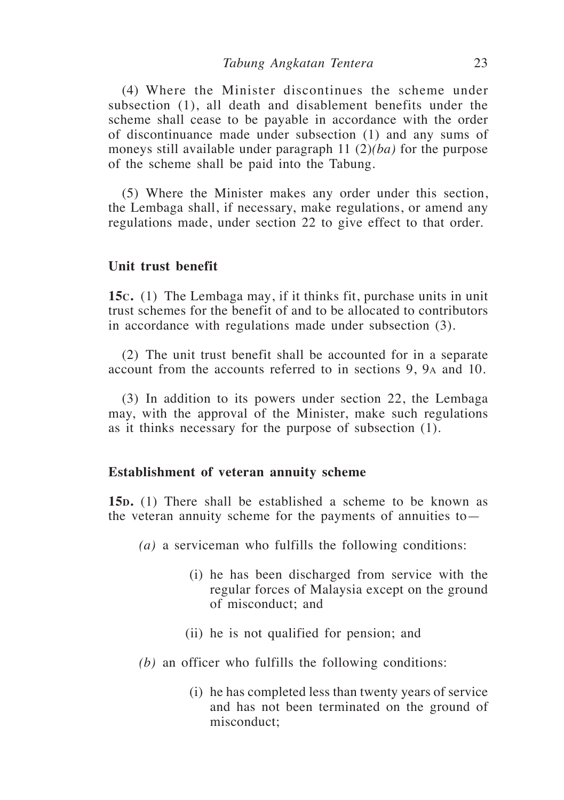(4) Where the Minister discontinues the scheme under subsection (1), all death and disablement benefits under the scheme shall cease to be payable in accordance with the order of discontinuance made under subsection (1) and any sums of moneys still available under paragraph 11 (2)*(ba)* for the purpose of the scheme shall be paid into the Tabung.

(5) Where the Minister makes any order under this section, the Lembaga shall, if necessary, make regulations, or amend any regulations made, under section 22 to give effect to that order.

### **Unit trust benefit**

**15c.** (1) The Lembaga may, if it thinks fit, purchase units in unit trust schemes for the benefit of and to be allocated to contributors in accordance with regulations made under subsection (3).

(2) The unit trust benefit shall be accounted for in a separate account from the accounts referred to in sections 9, 9a and 10.

(3) In addition to its powers under section 22, the Lembaga may, with the approval of the Minister, make such regulations as it thinks necessary for the purpose of subsection (1).

#### **Establishment of veteran annuity scheme**

**15<sub>D</sub>**. (1) There shall be established a scheme to be known as the veteran annuity scheme for the payments of annuities to—

- *(a)* a serviceman who fulfills the following conditions:
	- (i) he has been discharged from service with the regular forces of Malaysia except on the ground of misconduct; and
	- (ii) he is not qualified for pension; and
- *(b)* an officer who fulfills the following conditions:
	- (i) he has completed less than twenty years of service and has not been terminated on the ground of misconduct;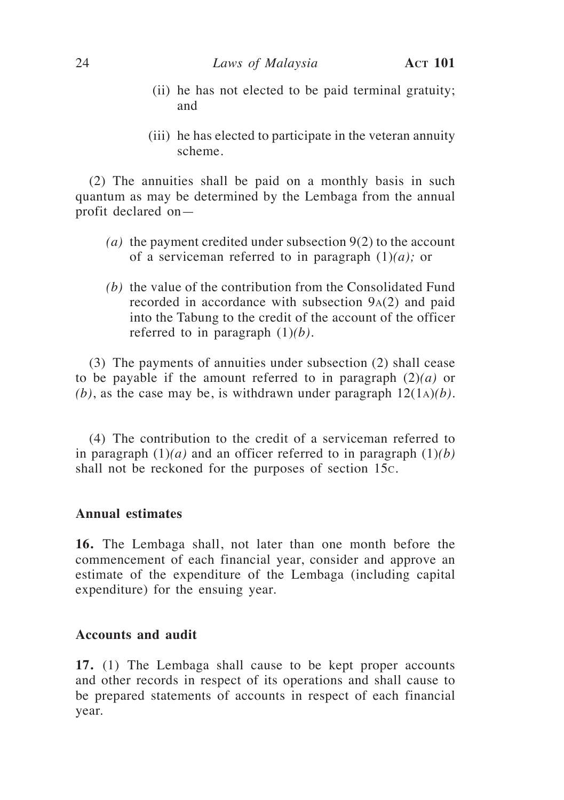- (ii) he has not elected to be paid terminal gratuity; and
- (iii) he has elected to participate in the veteran annuity scheme.

(2) The annuities shall be paid on a monthly basis in such quantum as may be determined by the Lembaga from the annual profit declared on—

- *(a)* the payment credited under subsection 9(2) to the account of a serviceman referred to in paragraph (1)*(a);* or
- *(b)* the value of the contribution from the Consolidated Fund recorded in accordance with subsection 9a(2) and paid into the Tabung to the credit of the account of the officer referred to in paragraph (1)*(b).*

(3) The payments of annuities under subsection (2) shall cease to be payable if the amount referred to in paragraph (2)*(a)* or  $(b)$ , as the case may be, is withdrawn under paragraph  $12(1a)(b)$ .

(4) The contribution to the credit of a serviceman referred to in paragraph  $(1)(a)$  and an officer referred to in paragraph  $(1)(b)$ shall not be reckoned for the purposes of section 15c.

# **Annual estimates**

**16.** The Lembaga shall, not later than one month before the commencement of each financial year, consider and approve an estimate of the expenditure of the Lembaga (including capital expenditure) for the ensuing year.

# **Accounts and audit**

**17.** (1) The Lembaga shall cause to be kept proper accounts and other records in respect of its operations and shall cause to be prepared statements of accounts in respect of each financial year.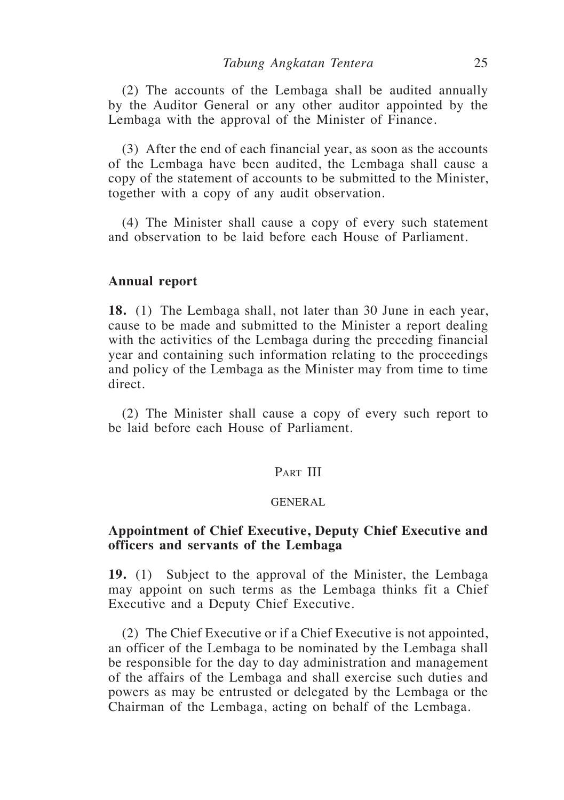(2) The accounts of the Lembaga shall be audited annually by the Auditor General or any other auditor appointed by the Lembaga with the approval of the Minister of Finance.

(3) After the end of each financial year, as soon as the accounts of the Lembaga have been audited, the Lembaga shall cause a copy of the statement of accounts to be submitted to the Minister, together with a copy of any audit observation.

(4) The Minister shall cause a copy of every such statement and observation to be laid before each House of Parliament.

#### **Annual report**

**18.** (1) The Lembaga shall, not later than 30 June in each year, cause to be made and submitted to the Minister a report dealing with the activities of the Lembaga during the preceding financial year and containing such information relating to the proceedings and policy of the Lembaga as the Minister may from time to time direct.

(2) The Minister shall cause a copy of every such report to be laid before each House of Parliament.

# PART III

#### GENERAL

## **Appointment of Chief Executive, Deputy Chief Executive and officers and servants of the Lembaga**

**19.** (1) Subject to the approval of the Minister, the Lembaga may appoint on such terms as the Lembaga thinks fit a Chief Executive and a Deputy Chief Executive.

(2) The Chief Executive or if a Chief Executive is not appointed, an officer of the Lembaga to be nominated by the Lembaga shall be responsible for the day to day administration and management of the affairs of the Lembaga and shall exercise such duties and powers as may be entrusted or delegated by the Lembaga or the Chairman of the Lembaga, acting on behalf of the Lembaga.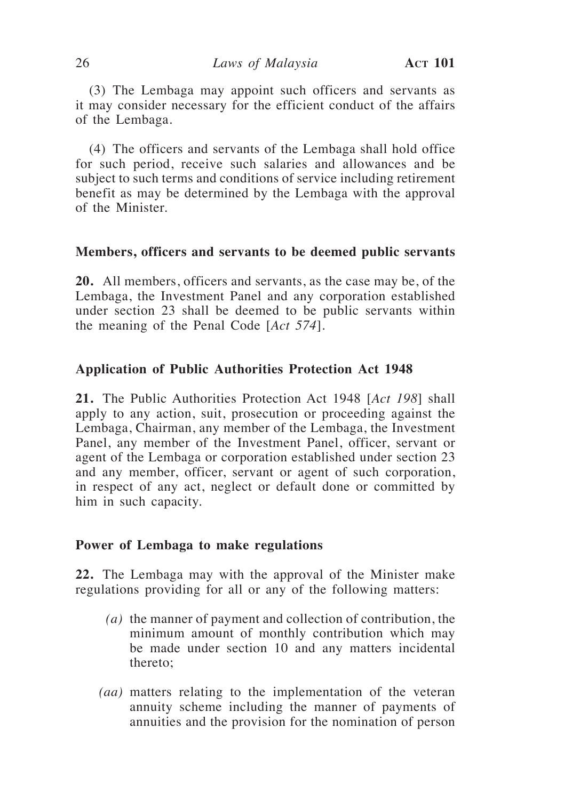(3) The Lembaga may appoint such officers and servants as it may consider necessary for the efficient conduct of the affairs of the Lembaga.

(4) The officers and servants of the Lembaga shall hold office for such period, receive such salaries and allowances and be subject to such terms and conditions of service including retirement benefit as may be determined by the Lembaga with the approval of the Minister.

### **Members, officers and servants to be deemed public servants**

**20.** All members, officers and servants, as the case may be, of the Lembaga, the Investment Panel and any corporation established under section 23 shall be deemed to be public servants within the meaning of the Penal Code [*Act 574*].

## **Application of Public Authorities Protection Act 1948**

**21.** The Public Authorities Protection Act 1948 [*Act 198*] shall apply to any action, suit, prosecution or proceeding against the Lembaga, Chairman, any member of the Lembaga, the Investment Panel, any member of the Investment Panel, officer, servant or agent of the Lembaga or corporation established under section 23 and any member, officer, servant or agent of such corporation, in respect of any act, neglect or default done or committed by him in such capacity.

#### **Power of Lembaga to make regulations**

**22.** The Lembaga may with the approval of the Minister make regulations providing for all or any of the following matters:

- *(a)* the manner of payment and collection of contribution, the minimum amount of monthly contribution which may be made under section 10 and any matters incidental thereto;
- *(aa)* matters relating to the implementation of the veteran annuity scheme including the manner of payments of annuities and the provision for the nomination of person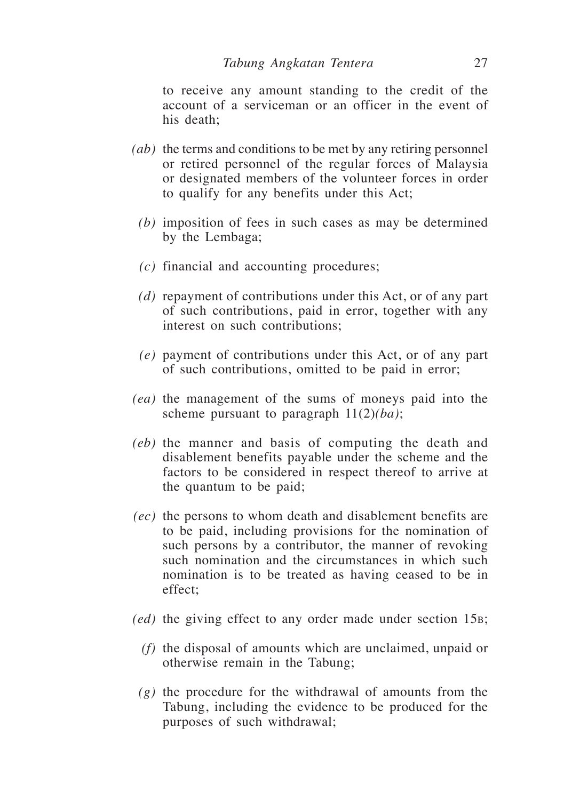to receive any amount standing to the credit of the account of a serviceman or an officer in the event of his death;

- *(ab)* the terms and conditions to be met by any retiring personnel or retired personnel of the regular forces of Malaysia or designated members of the volunteer forces in order to qualify for any benefits under this Act;
	- *(b)* imposition of fees in such cases as may be determined by the Lembaga;
	- *(c)* financial and accounting procedures;
	- *(d)* repayment of contributions under this Act, or of any part of such contributions, paid in error, together with any interest on such contributions;
	- *(e)* payment of contributions under this Act, or of any part of such contributions, omitted to be paid in error;
- *(ea)* the management of the sums of moneys paid into the scheme pursuant to paragraph 11(2)*(ba)*;
- *(eb)* the manner and basis of computing the death and disablement benefits payable under the scheme and the factors to be considered in respect thereof to arrive at the quantum to be paid;
- *(ec)* the persons to whom death and disablement benefits are to be paid, including provisions for the nomination of such persons by a contributor, the manner of revoking such nomination and the circumstances in which such nomination is to be treated as having ceased to be in effect;
- *(ed)* the giving effect to any order made under section 15b;
	- *(f)* the disposal of amounts which are unclaimed, unpaid or otherwise remain in the Tabung;
	- *(g)* the procedure for the withdrawal of amounts from the Tabung, including the evidence to be produced for the purposes of such withdrawal;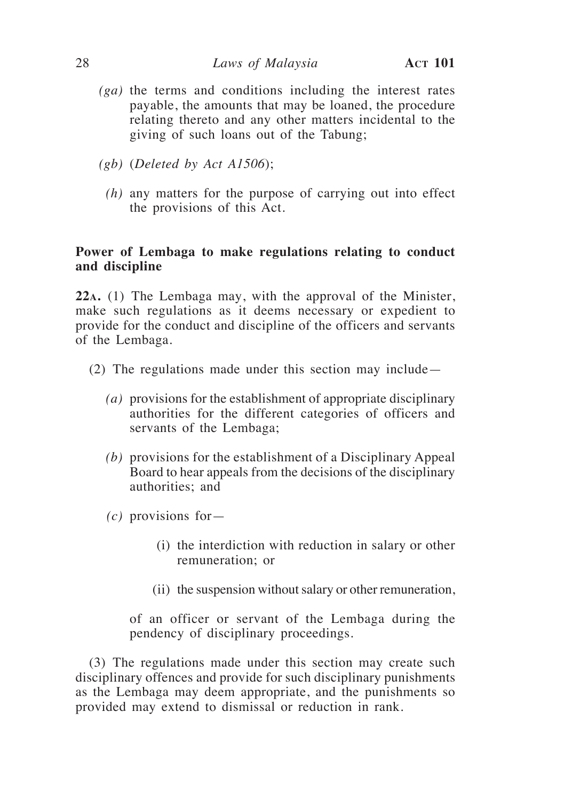- *(ga)* the terms and conditions including the interest rates payable, the amounts that may be loaned, the procedure relating thereto and any other matters incidental to the giving of such loans out of the Tabung;
- *(gb)* (*Deleted by Act A1506*);
	- *(h)* any matters for the purpose of carrying out into effect the provisions of this Act.

# **Power of Lembaga to make regulations relating to conduct and discipline**

**22a.** (1) The Lembaga may, with the approval of the Minister, make such regulations as it deems necessary or expedient to provide for the conduct and discipline of the officers and servants of the Lembaga.

- (2) The regulations made under this section may include—
	- *(a)* provisions for the establishment of appropriate disciplinary authorities for the different categories of officers and servants of the Lembaga;
	- *(b)* provisions for the establishment of a Disciplinary Appeal Board to hear appeals from the decisions of the disciplinary authorities; and
	- *(c)* provisions for—
		- (i) the interdiction with reduction in salary or other remuneration; or
		- (ii) the suspension without salary or other remuneration,

 of an officer or servant of the Lembaga during the pendency of disciplinary proceedings.

(3) The regulations made under this section may create such disciplinary offences and provide for such disciplinary punishments as the Lembaga may deem appropriate, and the punishments so provided may extend to dismissal or reduction in rank.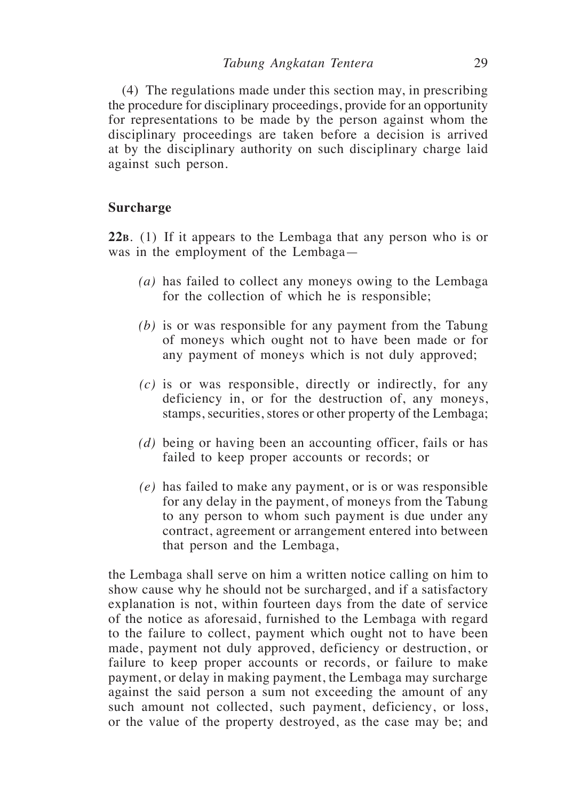(4) The regulations made under this section may, in prescribing the procedure for disciplinary proceedings, provide for an opportunity for representations to be made by the person against whom the disciplinary proceedings are taken before a decision is arrived at by the disciplinary authority on such disciplinary charge laid against such person.

# **Surcharge**

**22b**. (1) If it appears to the Lembaga that any person who is or was in the employment of the Lembaga—

- *(a)* has failed to collect any moneys owing to the Lembaga for the collection of which he is responsible;
- *(b)* is or was responsible for any payment from the Tabung of moneys which ought not to have been made or for any payment of moneys which is not duly approved;
- *(c)* is or was responsible, directly or indirectly, for any deficiency in, or for the destruction of, any moneys, stamps, securities, stores or other property of the Lembaga;
- *(d)* being or having been an accounting officer, fails or has failed to keep proper accounts or records; or
- *(e)* has failed to make any payment, or is or was responsible for any delay in the payment, of moneys from the Tabung to any person to whom such payment is due under any contract, agreement or arrangement entered into between that person and the Lembaga,

the Lembaga shall serve on him a written notice calling on him to show cause why he should not be surcharged, and if a satisfactory explanation is not, within fourteen days from the date of service of the notice as aforesaid, furnished to the Lembaga with regard to the failure to collect, payment which ought not to have been made, payment not duly approved, deficiency or destruction, or failure to keep proper accounts or records, or failure to make payment, or delay in making payment, the Lembaga may surcharge against the said person a sum not exceeding the amount of any such amount not collected, such payment, deficiency, or loss, or the value of the property destroyed, as the case may be; and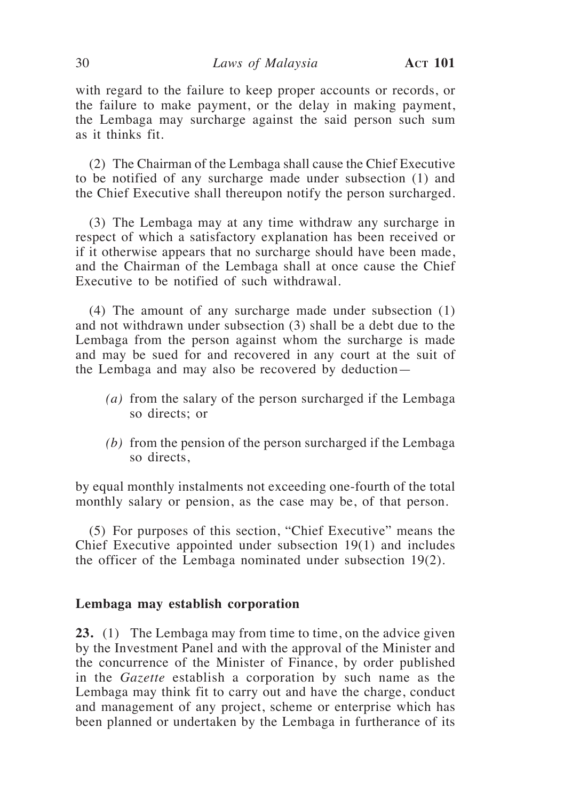with regard to the failure to keep proper accounts or records, or the failure to make payment, or the delay in making payment, the Lembaga may surcharge against the said person such sum as it thinks fit.

(2) The Chairman of the Lembaga shall cause the Chief Executive to be notified of any surcharge made under subsection (1) and the Chief Executive shall thereupon notify the person surcharged.

(3) The Lembaga may at any time withdraw any surcharge in respect of which a satisfactory explanation has been received or if it otherwise appears that no surcharge should have been made, and the Chairman of the Lembaga shall at once cause the Chief Executive to be notified of such withdrawal.

(4) The amount of any surcharge made under subsection (1) and not withdrawn under subsection (3) shall be a debt due to the Lembaga from the person against whom the surcharge is made and may be sued for and recovered in any court at the suit of the Lembaga and may also be recovered by deduction—

- *(a)* from the salary of the person surcharged if the Lembaga so directs; or
- *(b)* from the pension of the person surcharged if the Lembaga so directs,

by equal monthly instalments not exceeding one-fourth of the total monthly salary or pension, as the case may be, of that person.

(5) For purposes of this section, "Chief Executive" means the Chief Executive appointed under subsection 19(1) and includes the officer of the Lembaga nominated under subsection 19(2).

### **Lembaga may establish corporation**

**23.** (1) The Lembaga may from time to time, on the advice given by the Investment Panel and with the approval of the Minister and the concurrence of the Minister of Finance, by order published in the *Gazette* establish a corporation by such name as the Lembaga may think fit to carry out and have the charge, conduct and management of any project, scheme or enterprise which has been planned or undertaken by the Lembaga in furtherance of its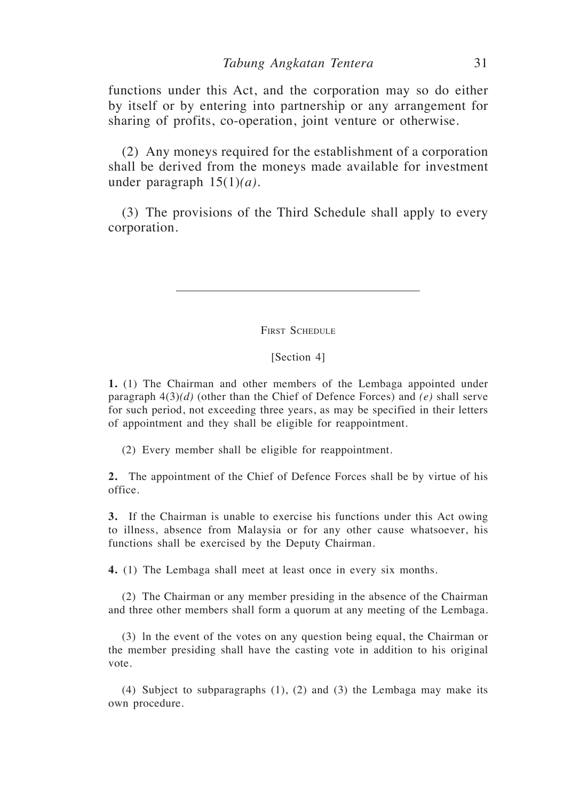functions under this Act, and the corporation may so do either by itself or by entering into partnership or any arrangement for sharing of profits, co-operation, joint venture or otherwise.

(2) Any moneys required for the establishment of a corporation shall be derived from the moneys made available for investment under paragraph 15(1)*(a)*.

(3) The provisions of the Third Schedule shall apply to every corporation.

FIRST SCHEDULE

#### [Section 4]

**1.** (1) The Chairman and other members of the Lembaga appointed under paragraph 4(3)*(d)* (other than the Chief of Defence Forces) and *(e)* shall serve for such period, not exceeding three years, as may be specified in their letters of appointment and they shall be eligible for reappointment.

(2) Every member shall be eligible for reappointment.

**2.** The appointment of the Chief of Defence Forces shall be by virtue of his office.

**3.** If the Chairman is unable to exercise his functions under this Act owing to illness, absence from Malaysia or for any other cause whatsoever, his functions shall be exercised by the Deputy Chairman.

**4.** (1) The Lembaga shall meet at least once in every six months.

(2) The Chairman or any member presiding in the absence of the Chairman and three other members shall form a quorum at any meeting of the Lembaga.

(3) ln the event of the votes on any question being equal, the Chairman or the member presiding shall have the casting vote in addition to his original vote.

(4) Subject to subparagraphs (1), (2) and (3) the Lembaga may make its own procedure.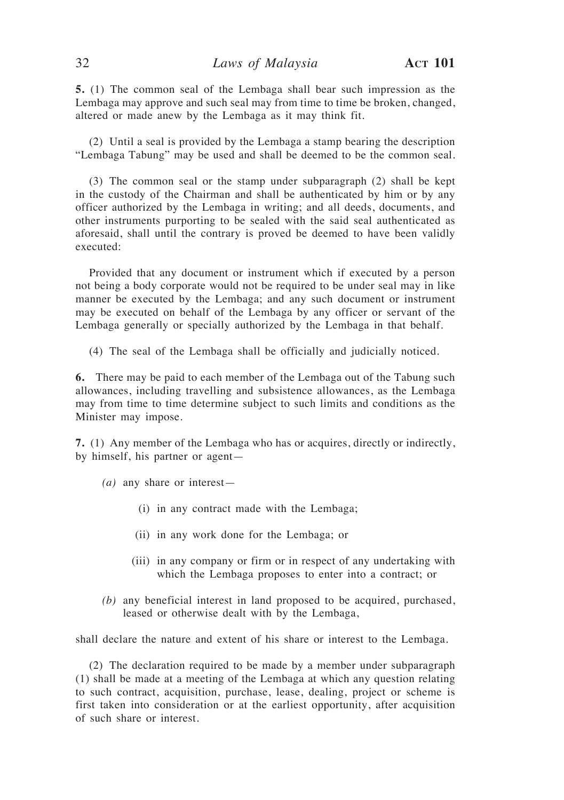**5.** (1) The common seal of the Lembaga shall bear such impression as the Lembaga may approve and such seal may from time to time be broken, changed, altered or made anew by the Lembaga as it may think fit.

(2) Until a seal is provided by the Lembaga a stamp bearing the description "Lembaga Tabung" may be used and shall be deemed to be the common seal.

(3) The common seal or the stamp under subparagraph (2) shall be kept in the custody of the Chairman and shall be authenticated by him or by any officer authorized by the Lembaga in writing; and all deeds, documents, and other instruments purporting to be sealed with the said seal authenticated as aforesaid, shall until the contrary is proved be deemed to have been validly executed:

Provided that any document or instrument which if executed by a person not being a body corporate would not be required to be under seal may in like manner be executed by the Lembaga; and any such document or instrument may be executed on behalf of the Lembaga by any officer or servant of the Lembaga generally or specially authorized by the Lembaga in that behalf.

(4) The seal of the Lembaga shall be officially and judicially noticed.

**6.** There may be paid to each member of the Lembaga out of the Tabung such allowances, including travelling and subsistence allowances, as the Lembaga may from time to time determine subject to such limits and conditions as the Minister may impose.

**7.** (1) Any member of the Lembaga who has or acquires, directly or indirectly, by himself, his partner or agent—

- *(a)* any share or interest—
	- (i) in any contract made with the Lembaga;
	- (ii) in any work done for the Lembaga; or
	- (iii) in any company or firm or in respect of any undertaking with which the Lembaga proposes to enter into a contract; or
- *(b)* any beneficial interest in land proposed to be acquired, purchased, leased or otherwise dealt with by the Lembaga,

shall declare the nature and extent of his share or interest to the Lembaga.

(2) The declaration required to be made by a member under subparagraph (1) shall be made at a meeting of the Lembaga at which any question relating to such contract, acquisition, purchase, lease, dealing, project or scheme is first taken into consideration or at the earliest opportunity, after acquisition of such share or interest.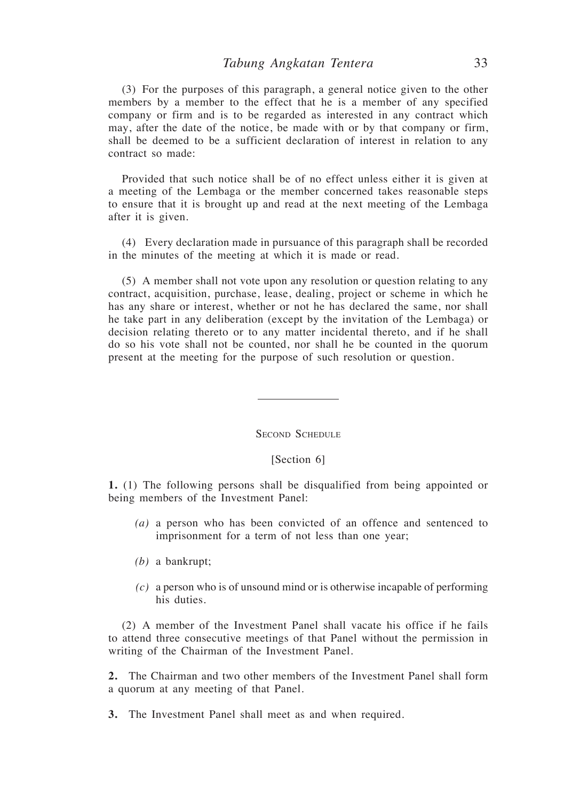(3) For the purposes of this paragraph, a general notice given to the other members by a member to the effect that he is a member of any specified company or firm and is to be regarded as interested in any contract which may, after the date of the notice, be made with or by that company or firm, shall be deemed to be a sufficient declaration of interest in relation to any contract so made:

Provided that such notice shall be of no effect unless either it is given at a meeting of the Lembaga or the member concerned takes reasonable steps to ensure that it is brought up and read at the next meeting of the Lembaga after it is given.

(4) Every declaration made in pursuance of this paragraph shall be recorded in the minutes of the meeting at which it is made or read.

(5) A member shall not vote upon any resolution or question relating to any contract, acquisition, purchase, lease, dealing, project or scheme in which he has any share or interest, whether or not he has declared the same, nor shall he take part in any deliberation (except by the invitation of the Lembaga) or decision relating thereto or to any matter incidental thereto, and if he shall do so his vote shall not be counted, nor shall he be counted in the quorum present at the meeting for the purpose of such resolution or question.

Second Schedule

#### [Section 6]

**1.** (1) The following persons shall be disqualified from being appointed or being members of the Investment Panel:

- *(a)* a person who has been convicted of an offence and sentenced to imprisonment for a term of not less than one year;
- *(b)* a bankrupt;
- *(c)* a person who is of unsound mind or is otherwise incapable of performing his duties.

(2) A member of the Investment Panel shall vacate his office if he fails to attend three consecutive meetings of that Panel without the permission in writing of the Chairman of the Investment Panel.

**2.** The Chairman and two other members of the Investment Panel shall form a quorum at any meeting of that Panel.

**3.** The Investment Panel shall meet as and when required.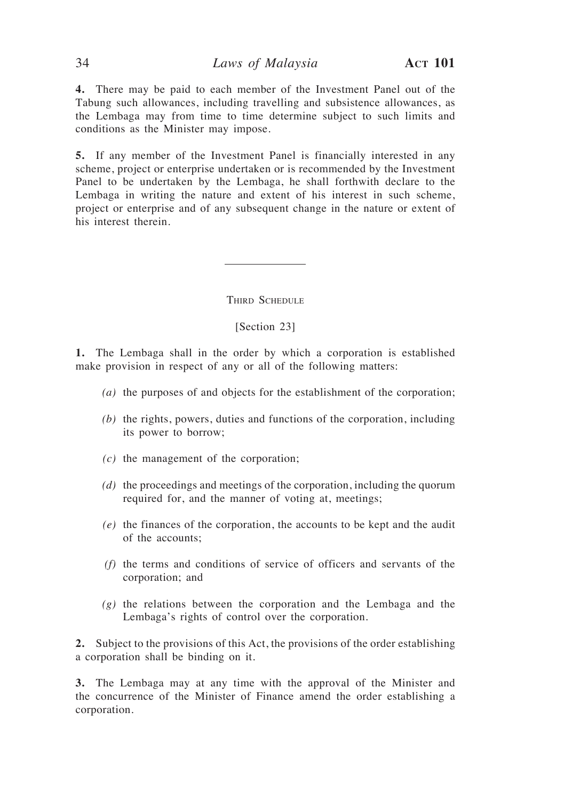**4.** There may be paid to each member of the Investment Panel out of the Tabung such allowances, including travelling and subsistence allowances, as the Lembaga may from time to time determine subject to such limits and conditions as the Minister may impose.

**5.** If any member of the Investment Panel is financially interested in any scheme, project or enterprise undertaken or is recommended by the Investment Panel to be undertaken by the Lembaga, he shall forthwith declare to the Lembaga in writing the nature and extent of his interest in such scheme, project or enterprise and of any subsequent change in the nature or extent of his interest therein.

THIRD SCHEDULE

#### [Section 23]

**1.** The Lembaga shall in the order by which a corporation is established make provision in respect of any or all of the following matters:

- *(a)* the purposes of and objects for the establishment of the corporation;
- *(b)* the rights, powers, duties and functions of the corporation, including its power to borrow;
- *(c)* the management of the corporation;
- *(d)* the proceedings and meetings of the corporation, including the quorum required for, and the manner of voting at, meetings;
- *(e)* the finances of the corporation, the accounts to be kept and the audit of the accounts;
- *(f)* the terms and conditions of service of officers and servants of the corporation; and
- *(g)* the relations between the corporation and the Lembaga and the Lembaga's rights of control over the corporation.

**2.** Subject to the provisions of this Act, the provisions of the order establishing a corporation shall be binding on it.

**3.** The Lembaga may at any time with the approval of the Minister and the concurrence of the Minister of Finance amend the order establishing a corporation.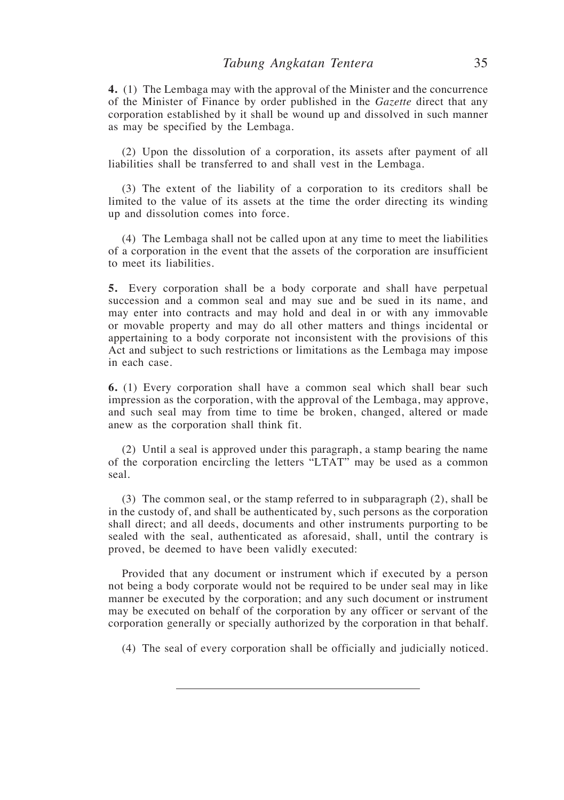**4.** (1) The Lembaga may with the approval of the Minister and the concurrence of the Minister of Finance by order published in the *Gazette* direct that any corporation established by it shall be wound up and dissolved in such manner as may be specified by the Lembaga.

(2) Upon the dissolution of a corporation, its assets after payment of all liabilities shall be transferred to and shall vest in the Lembaga.

(3) The extent of the liability of a corporation to its creditors shall be limited to the value of its assets at the time the order directing its winding up and dissolution comes into force.

(4) The Lembaga shall not be called upon at any time to meet the liabilities of a corporation in the event that the assets of the corporation are insufficient to meet its liabilities.

**5.** Every corporation shall be a body corporate and shall have perpetual succession and a common seal and may sue and be sued in its name, and may enter into contracts and may hold and deal in or with any immovable or movable property and may do all other matters and things incidental or appertaining to a body corporate not inconsistent with the provisions of this Act and subject to such restrictions or limitations as the Lembaga may impose in each case.

**6.** (1) Every corporation shall have a common seal which shall bear such impression as the corporation, with the approval of the Lembaga, may approve, and such seal may from time to time be broken, changed, altered or made anew as the corporation shall think fit.

(2) Until a seal is approved under this paragraph, a stamp bearing the name of the corporation encircling the letters "LTAT" may be used as a common seal.

(3) The common seal, or the stamp referred to in subparagraph (2), shall be in the custody of, and shall be authenticated by, such persons as the corporation shall direct; and all deeds, documents and other instruments purporting to be sealed with the seal, authenticated as aforesaid, shall, until the contrary is proved, be deemed to have been validly executed:

Provided that any document or instrument which if executed by a person not being a body corporate would not be required to be under seal may in like manner be executed by the corporation; and any such document or instrument may be executed on behalf of the corporation by any officer or servant of the corporation generally or specially authorized by the corporation in that behalf.

(4) The seal of every corporation shall be officially and judicially noticed.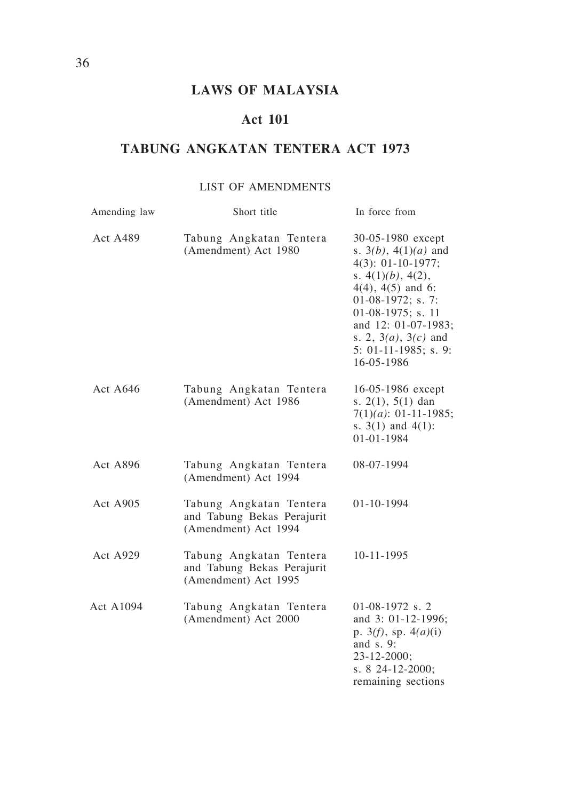# **LAWS OF MALAYSIA**

# **Act 101**

# **TABUNG ANGKATAN TENTERA ACT 1973**

# LIST OF AMENDMENTS

| Amending law     | Short title                                                                   | In force from                                                                                                                                                                                                                                                     |
|------------------|-------------------------------------------------------------------------------|-------------------------------------------------------------------------------------------------------------------------------------------------------------------------------------------------------------------------------------------------------------------|
| <b>Act A489</b>  | Tabung Angkatan Tentera<br>(Amendment) Act 1980                               | 30-05-1980 except<br>s. $3(b)$ , $4(1)(a)$ and<br>$4(3): 01-10-1977;$<br>s. $4(1)(b)$ , $4(2)$ ,<br>$4(4)$ , $4(5)$ and 6:<br>01-08-1972; s. 7:<br>01-08-1975; s. 11<br>and 12: 01-07-1983;<br>s. 2, $3(a)$ , $3(c)$ and<br>$5: 01-11-1985$ ; s. 9:<br>16-05-1986 |
| Act $A646$       | Tabung Angkatan Tentera<br>(Amendment) Act 1986                               | 16-05-1986 except<br>s. $2(1)$ , $5(1)$ dan<br>$7(1)(a)$ : 01-11-1985;<br>s. $3(1)$ and $4(1)$ :<br>01-01-1984                                                                                                                                                    |
| <b>Act A896</b>  | Tabung Angkatan Tentera<br>(Amendment) Act 1994                               | 08-07-1994                                                                                                                                                                                                                                                        |
| <b>Act A905</b>  | Tabung Angkatan Tentera<br>and Tabung Bekas Perajurit<br>(Amendment) Act 1994 | 01-10-1994                                                                                                                                                                                                                                                        |
| <b>Act A929</b>  | Tabung Angkatan Tentera<br>and Tabung Bekas Perajurit<br>(Amendment) Act 1995 | 10-11-1995                                                                                                                                                                                                                                                        |
| <b>Act A1094</b> | Tabung Angkatan Tentera<br>(Amendment) Act 2000                               | $01-08-1972$ s. 2<br>and 3: 01-12-1996;<br>p. $3(f)$ , sp. $4(a)(i)$<br>and $s.9$ :<br>23-12-2000;<br>s. 8 24-12-2000;<br>remaining sections                                                                                                                      |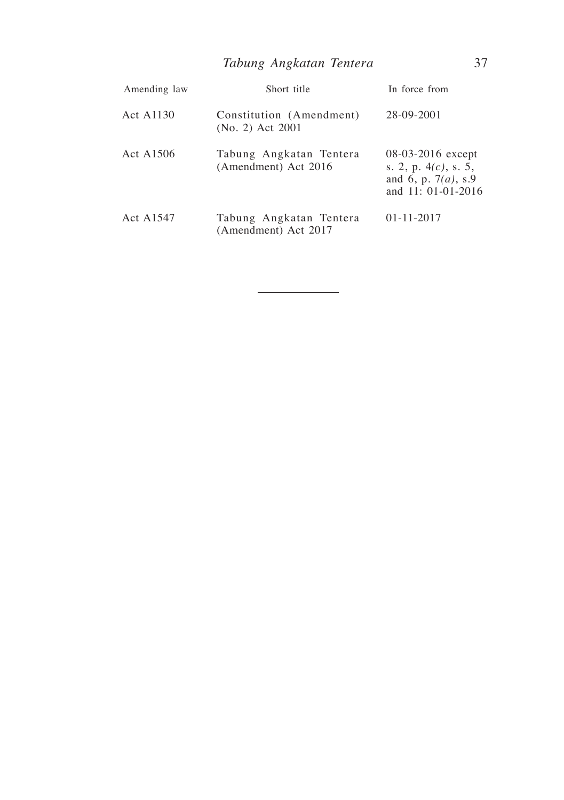| Amending law | Short title                                     | In force from                                                                                |
|--------------|-------------------------------------------------|----------------------------------------------------------------------------------------------|
| Act A1130    | Constitution (Amendment)<br>(No. 2) Act 2001    | 28-09-2001                                                                                   |
| Act A1506    | Tabung Angkatan Tentera<br>(Amendment) Act 2016 | 08-03-2016 except<br>s. 2, p. $4(c)$ , s. 5,<br>and 6, p. $7(a)$ , s.9<br>and 11: 01-01-2016 |
| Act A1547    | Tabung Angkatan Tentera<br>(Amendment) Act 2017 | $01 - 11 - 2017$                                                                             |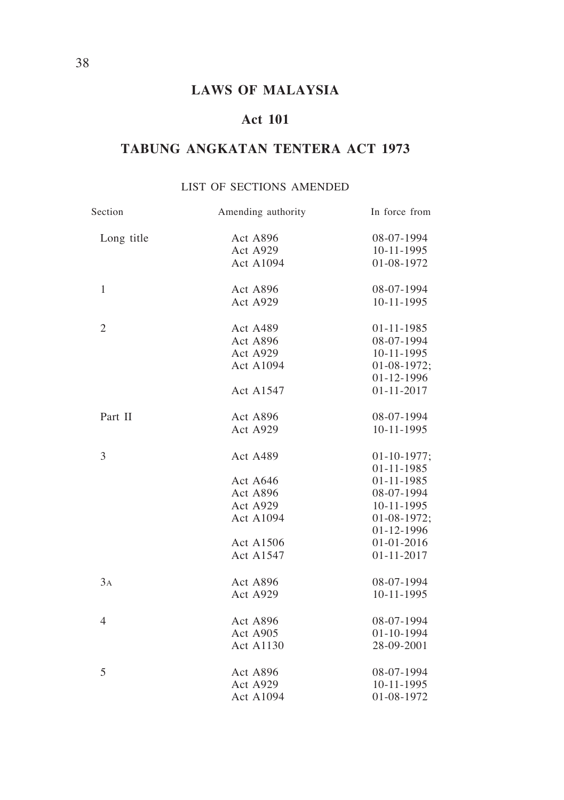# **LAWS OF MALAYSIA**

# **Act 101**

# **TABUNG ANGKATAN TENTERA ACT 1973**

# LIST OF SECTIONS AMENDED

| Section        | Amending authority | In force from     |
|----------------|--------------------|-------------------|
| Long title     | Act A896           | 08-07-1994        |
|                | Act A929           | 10-11-1995        |
|                | Act A1094          | 01-08-1972        |
| $\mathbf{1}$   | Act A896           | 08-07-1994        |
|                | Act A929           | 10-11-1995        |
| $\overline{2}$ | Act A489           | 01-11-1985        |
|                | Act A896           | 08-07-1994        |
|                | Act A929           | 10-11-1995        |
|                | <b>Act A1094</b>   | $01-08-1972;$     |
|                |                    | 01-12-1996        |
|                | Act A1547          | $01 - 11 - 2017$  |
| Part II        | Act A896           | 08-07-1994        |
|                | Act A929           | 10-11-1995        |
| 3              | Act A489           | $01 - 10 - 1977;$ |
|                |                    | 01-11-1985        |
|                | Act A646           | 01-11-1985        |
|                | Act A896           | 08-07-1994        |
|                | Act A929           | 10-11-1995        |
|                | <b>Act A1094</b>   | $01-08-1972;$     |
|                |                    | 01-12-1996        |
|                | <b>Act A1506</b>   | 01-01-2016        |
|                | Act A1547          | $01 - 11 - 2017$  |
| 3A             | Act A896           | 08-07-1994        |
|                | Act A929           | 10-11-1995        |
| $\overline{4}$ | Act A896           | 08-07-1994        |
|                | Act A905           | 01-10-1994        |
|                | <b>Act A1130</b>   | 28-09-2001        |
| 5              | Act A896           | 08-07-1994        |
|                | Act A929           | 10-11-1995        |
|                | <b>Act A1094</b>   | 01-08-1972        |
|                |                    |                   |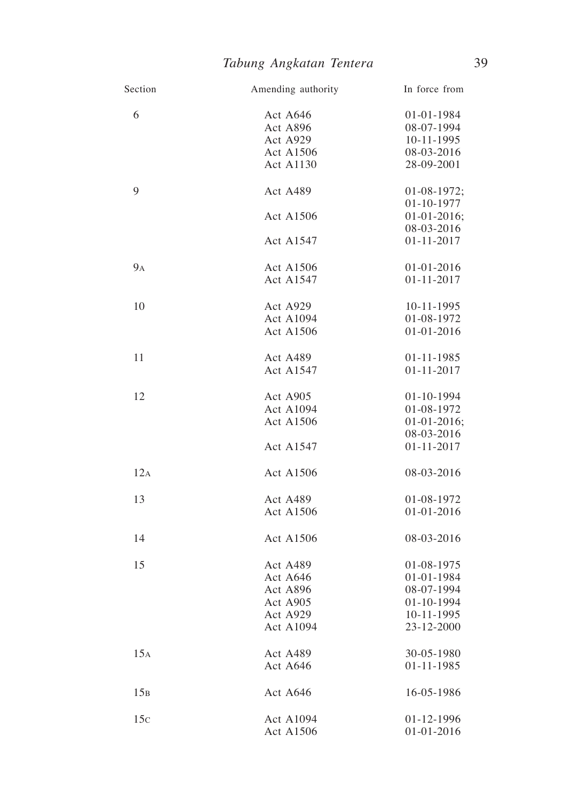| Section | Amending authority | In force from    |
|---------|--------------------|------------------|
| 6       | Act A646           | 01-01-1984       |
|         | Act A896           | 08-07-1994       |
|         | Act A929           | 10-11-1995       |
|         | <b>Act A1506</b>   | 08-03-2016       |
|         | Act A1130          | 28-09-2001       |
| 9       | Act A489           | $01-08-1972;$    |
|         |                    | 01-10-1977       |
|         | <b>Act A1506</b>   | $01-01-2016;$    |
|         |                    | 08-03-2016       |
|         | Act A1547          | 01-11-2017       |
| $9_A$   | Act A1506          | 01-01-2016       |
|         | Act A1547          | $01 - 11 - 2017$ |
| 10      | Act A929           | 10-11-1995       |
|         | <b>Act A1094</b>   | 01-08-1972       |
|         | Act A1506          | 01-01-2016       |
| 11      | Act A489           | 01-11-1985       |
|         | Act A1547          | 01-11-2017       |
| 12      | Act A905           | 01-10-1994       |
|         | <b>Act A1094</b>   | 01-08-1972       |
|         | <b>Act A1506</b>   | $01-01-2016;$    |
|         |                    | 08-03-2016       |
|         | Act A1547          | $01 - 11 - 2017$ |
| 12A     | Act A1506          | 08-03-2016       |
| 13      | Act A489           | 01-08-1972       |
|         | <b>Act A1506</b>   | 01-01-2016       |
|         |                    |                  |
| 14      | <b>Act A1506</b>   | 08-03-2016       |
| 15      | Act A489           | 01-08-1975       |
|         | Act A646           | 01-01-1984       |
|         | Act A896           | 08-07-1994       |
|         | Act A905           | 01-10-1994       |
|         | Act A929           | 10-11-1995       |
|         | <b>Act A1094</b>   | 23-12-2000       |
| 15A     | Act A489           | 30-05-1980       |
|         | Act A646           | 01-11-1985       |
| 15B     | Act A646           | 16-05-1986       |
| 15c     | <b>Act A1094</b>   | 01-12-1996       |
|         | Act A1506          | 01-01-2016       |